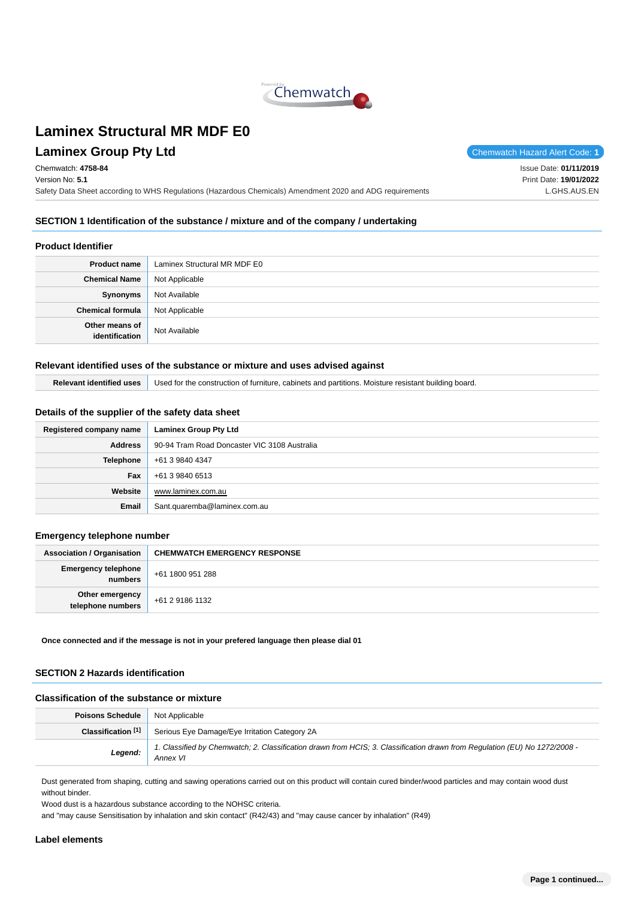

## **Laminex Group Pty Ltd Chemwatch Hazard Alert Code: 1**

Chemwatch: **4758-84** Version No: **5.1**

Issue Date: **01/11/2019**

Print Date: **19/01/2022** L.GHS.AUS.EN

Safety Data Sheet according to WHS Regulations (Hazardous Chemicals) Amendment 2020 and ADG requirements

## **SECTION 1 Identification of the substance / mixture and of the company / undertaking**

#### **Product Identifier**

| <b>Product name</b>              | Laminex Structural MR MDF E0 |  |
|----------------------------------|------------------------------|--|
| <b>Chemical Name</b>             | Not Applicable               |  |
| Synonyms                         | Not Available                |  |
| <b>Chemical formula</b>          | Not Applicable               |  |
| Other means of<br>identification | Not Available                |  |

#### **Relevant identified uses of the substance or mixture and uses advised against**

| Relevant identified uses   Used for the construction of furniture, cabinets and partitions. Moisture resistant building board. |
|--------------------------------------------------------------------------------------------------------------------------------|
|                                                                                                                                |

## **Details of the supplier of the safety data sheet**

| Registered company name | <b>Laminex Group Pty Ltd</b>                 |  |
|-------------------------|----------------------------------------------|--|
| <b>Address</b>          | 90-94 Tram Road Doncaster VIC 3108 Australia |  |
| <b>Telephone</b>        | +61 3 9840 4347                              |  |
| Fax                     | +61 3 9840 6513                              |  |
| Website                 | www.laminex.com.au                           |  |
| Email                   | Sant.quaremba@laminex.com.au                 |  |

#### **Emergency telephone number**

| <b>Association / Organisation</b>     | <b>CHEMWATCH EMERGENCY RESPONSE</b> |  |
|---------------------------------------|-------------------------------------|--|
| <b>Emergency telephone</b><br>numbers | +61 1800 951 288                    |  |
| Other emergency<br>telephone numbers  | +61 2 9186 1132                     |  |

**Once connected and if the message is not in your prefered language then please dial 01**

## **SECTION 2 Hazards identification**

## **Classification of the substance or mixture**

| <b>Poisons Schedule</b> Not Applicable |                                                                                                                                        |  |  |
|----------------------------------------|----------------------------------------------------------------------------------------------------------------------------------------|--|--|
|                                        | <b>Classification</b> [1] Serious Eye Damage/Eye Irritation Category 2A                                                                |  |  |
| Legend:                                | 1. Classified by Chemwatch; 2. Classification drawn from HCIS; 3. Classification drawn from Regulation (EU) No 1272/2008 -<br>Annex VI |  |  |

Dust generated from shaping, cutting and sawing operations carried out on this product will contain cured binder/wood particles and may contain wood dust without binder.

Wood dust is a hazardous substance according to the NOHSC criteria.

and "may cause Sensitisation by inhalation and skin contact" (R42/43) and "may cause cancer by inhalation" (R49)

#### **Label elements**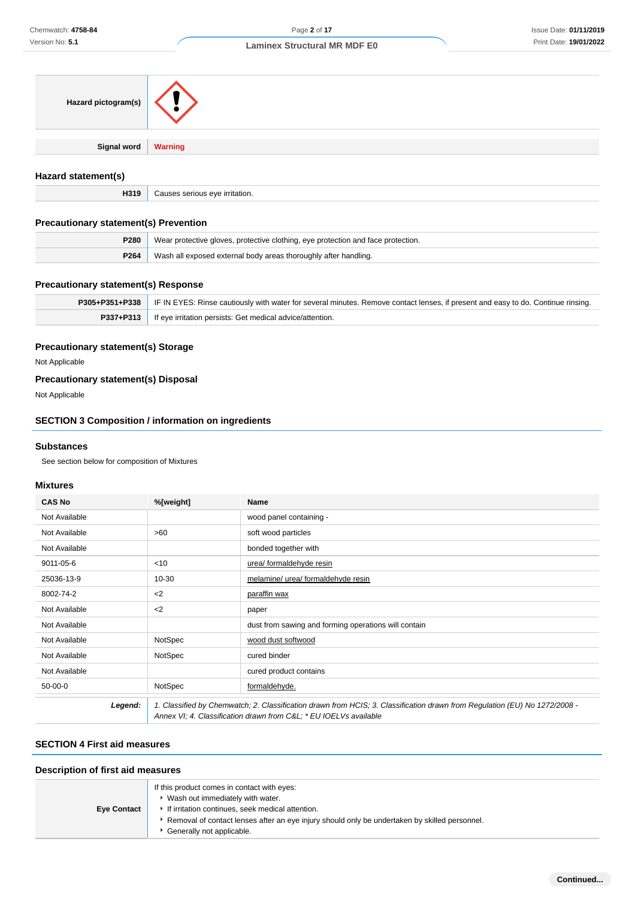| Hazard pictogram(s)   |  |
|-----------------------|--|
| Signal word   Warning |  |

#### **Hazard statement(s)**

**H319** Causes serious eye irritation.

## **Precautionary statement(s) Prevention**

| <b>P280</b> Wear protective gloves, protective clothing, eye protection and face protection. |  |
|----------------------------------------------------------------------------------------------|--|
| <b>P264</b> Wash all exposed external body areas thoroughly after handling.                  |  |

#### **Precautionary statement(s) Response**

| P305+P351+P338   IF IN EYES: Rinse cautiously with water for several minutes. Remove contact lenses, if present and easy to do. Continue rinsing. |  |
|---------------------------------------------------------------------------------------------------------------------------------------------------|--|
| P337+P313   If eye irritation persists: Get medical advice/attention.                                                                             |  |

## **Precautionary statement(s) Storage**

Not Applicable

## **Precautionary statement(s) Disposal**

Not Applicable

## **SECTION 3 Composition / information on ingredients**

### **Substances**

See section below for composition of Mixtures

## **Mixtures**

| <b>CAS No</b> | %[weight] | <b>Name</b>                                                                                                                                                                                    |
|---------------|-----------|------------------------------------------------------------------------------------------------------------------------------------------------------------------------------------------------|
| Not Available |           | wood panel containing -                                                                                                                                                                        |
| Not Available | >60       | soft wood particles                                                                                                                                                                            |
| Not Available |           | bonded together with                                                                                                                                                                           |
| 9011-05-6     | $<$ 10    | urea/ formaldehyde resin                                                                                                                                                                       |
| 25036-13-9    | 10-30     | melamine/ urea/ formaldehyde resin                                                                                                                                                             |
| 8002-74-2     | $2$       | paraffin wax                                                                                                                                                                                   |
| Not Available | $<$ 2     | paper                                                                                                                                                                                          |
| Not Available |           | dust from sawing and forming operations will contain                                                                                                                                           |
| Not Available | NotSpec   | wood dust softwood                                                                                                                                                                             |
| Not Available | NotSpec   | cured binder                                                                                                                                                                                   |
| Not Available |           | cured product contains                                                                                                                                                                         |
| $50-00-0$     | NotSpec   | formaldehyde.                                                                                                                                                                                  |
| Legend:       |           | 1. Classified by Chemwatch; 2. Classification drawn from HCIS; 3. Classification drawn from Regulation (EU) No 1272/2008 -<br>Annex VI; 4. Classification drawn from C&L * EU IOELVs available |

## **SECTION 4 First aid measures**

## **Description of first aid measures**

| <b>Eye Contact</b> | If this product comes in contact with eyes:<br>Wash out immediately with water.<br>If irritation continues, seek medical attention. |
|--------------------|-------------------------------------------------------------------------------------------------------------------------------------|
|                    | Removal of contact lenses after an eye injury should only be undertaken by skilled personnel.<br>Generally not applicable.          |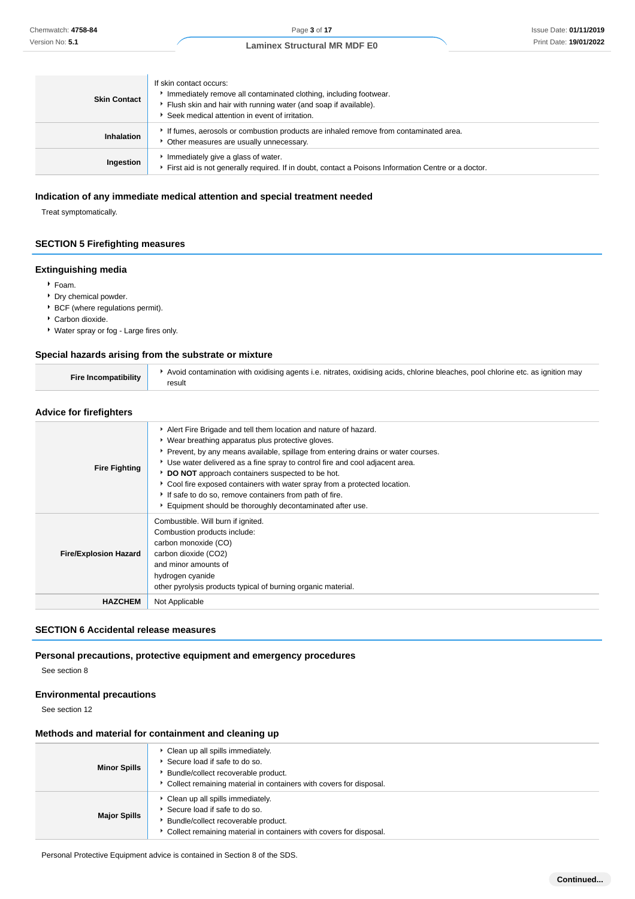| <b>Skin Contact</b> | If skin contact occurs:<br>Immediately remove all contaminated clothing, including footwear.<br>Flush skin and hair with running water (and soap if available).<br>Seek medical attention in event of irritation. |
|---------------------|-------------------------------------------------------------------------------------------------------------------------------------------------------------------------------------------------------------------|
| <b>Inhalation</b>   | If fumes, aerosols or combustion products are inhaled remove from contaminated area.<br>• Other measures are usually unnecessary.                                                                                 |
| Ingestion           | Immediately give a glass of water.<br>First aid is not generally required. If in doubt, contact a Poisons Information Centre or a doctor.                                                                         |

## **Indication of any immediate medical attention and special treatment needed**

Treat symptomatically.

## **SECTION 5 Firefighting measures**

#### **Extinguishing media**

- Foam.
- Dry chemical powder.
- BCF (where regulations permit).
- Carbon dioxide.
- Water spray or fog Large fires only.

#### **Special hazards arising from the substrate or mixture**

| Fire Incompatibility | Avoid contamination with oxidising agents i.e. nitrates, oxidising acids, chlorine bleaches, pool chlorine etc. as ignition may<br>result |
|----------------------|-------------------------------------------------------------------------------------------------------------------------------------------|
|----------------------|-------------------------------------------------------------------------------------------------------------------------------------------|

## **Advice for firefighters**

| <b>Fire Fighting</b>         | Alert Fire Brigade and tell them location and nature of hazard.<br>▶ Wear breathing apparatus plus protective gloves.<br>Prevent, by any means available, spillage from entering drains or water courses.<br>► Use water delivered as a fine spray to control fire and cool adjacent area.<br>DO NOT approach containers suspected to be hot.<br>▶ Cool fire exposed containers with water spray from a protected location.<br>If safe to do so, remove containers from path of fire.<br>Equipment should be thoroughly decontaminated after use. |
|------------------------------|---------------------------------------------------------------------------------------------------------------------------------------------------------------------------------------------------------------------------------------------------------------------------------------------------------------------------------------------------------------------------------------------------------------------------------------------------------------------------------------------------------------------------------------------------|
| <b>Fire/Explosion Hazard</b> | Combustible. Will burn if ignited.<br>Combustion products include:<br>carbon monoxide (CO)<br>carbon dioxide (CO2)<br>and minor amounts of<br>hydrogen cyanide<br>other pyrolysis products typical of burning organic material.                                                                                                                                                                                                                                                                                                                   |
| <b>HAZCHEM</b>               | Not Applicable                                                                                                                                                                                                                                                                                                                                                                                                                                                                                                                                    |

## **SECTION 6 Accidental release measures**

## **Personal precautions, protective equipment and emergency procedures**

See section 8

## **Environmental precautions**

See section 12

## **Methods and material for containment and cleaning up**

| <b>Minor Spills</b> | • Clean up all spills immediately.<br>Secure load if safe to do so.<br>Bundle/collect recoverable product.<br>Collect remaining material in containers with covers for disposal.   |
|---------------------|------------------------------------------------------------------------------------------------------------------------------------------------------------------------------------|
| <b>Major Spills</b> | • Clean up all spills immediately.<br>▶ Secure load if safe to do so.<br>Bundle/collect recoverable product.<br>Collect remaining material in containers with covers for disposal. |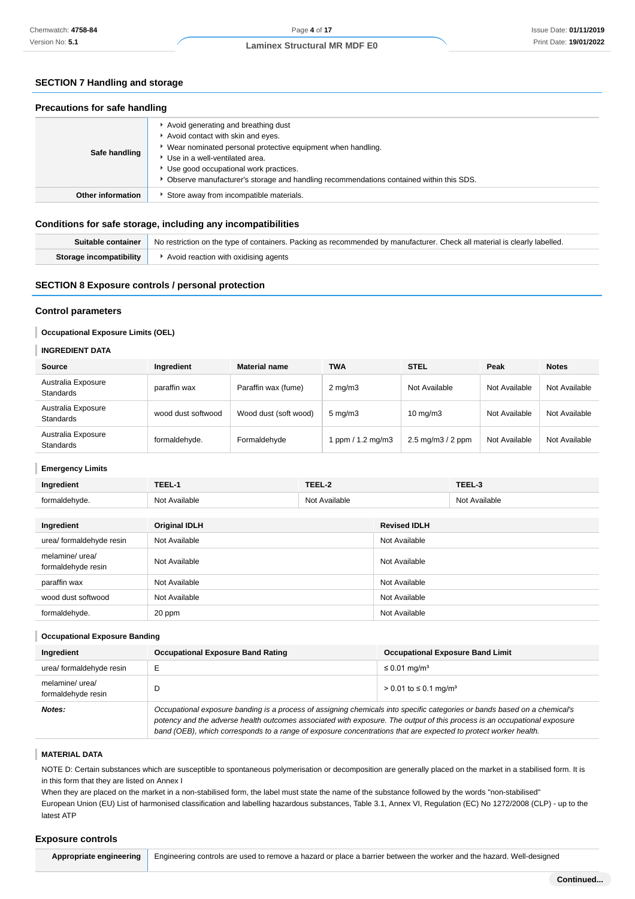## **SECTION 7 Handling and storage**

#### **Precautions for safe handling**

| Safe handling            | Avoid generating and breathing dust<br>Avoid contact with skin and eyes.<br>Wear nominated personal protective equipment when handling.<br>Use in a well-ventilated area.<br>Use good occupational work practices.<br>Observe manufacturer's storage and handling recommendations contained within this SDS. |
|--------------------------|--------------------------------------------------------------------------------------------------------------------------------------------------------------------------------------------------------------------------------------------------------------------------------------------------------------|
| <b>Other information</b> | Store away from incompatible materials.                                                                                                                                                                                                                                                                      |

#### **Conditions for safe storage, including any incompatibilities**

| Suitable container      | No restriction on the type of containers. Packing as recommended by manufacturer. Check all material is clearly labelled. |
|-------------------------|---------------------------------------------------------------------------------------------------------------------------|
| Storage incompatibility | Avoid reaction with oxidising agents                                                                                      |

## **SECTION 8 Exposure controls / personal protection**

#### **Control parameters**

#### **Occupational Exposure Limits (OEL)**

#### **INGREDIENT DATA**

| Source                                 | Ingredient         | <b>Material name</b>  | <b>TWA</b>        | <b>STEL</b>                          | Peak          | <b>Notes</b>  |
|----------------------------------------|--------------------|-----------------------|-------------------|--------------------------------------|---------------|---------------|
| Australia Exposure<br><b>Standards</b> | paraffin wax       | Paraffin wax (fume)   | $2 \text{ mg/m}$  | Not Available                        | Not Available | Not Available |
| Australia Exposure<br><b>Standards</b> | wood dust softwood | Wood dust (soft wood) | $5 \text{ mg/m}$  | $10 \text{ mg/m}$                    | Not Available | Not Available |
| Australia Exposure<br><b>Standards</b> | formaldehyde.      | Formaldehyde          | ppm $/ 1.2$ mg/m3 | $2.5 \text{ mg/m}$ $3/2 \text{ ppm}$ | Not Available | Not Available |

#### **Emergency Limits**

ı

| Ingredient                            | TEEL-1               | TEEL-2        |                     | TEEL-3        |
|---------------------------------------|----------------------|---------------|---------------------|---------------|
| formaldehyde.                         | Not Available        | Not Available |                     | Not Available |
|                                       |                      |               |                     |               |
| Ingredient                            | <b>Original IDLH</b> |               | <b>Revised IDLH</b> |               |
| urea/ formaldehyde resin              | Not Available        |               | Not Available       |               |
| melamine/ urea/<br>formaldehyde resin | Not Available        |               | Not Available       |               |
| paraffin wax                          | Not Available        |               | Not Available       |               |
| wood dust softwood                    | Not Available        |               | Not Available       |               |
| formaldehyde.                         | 20 ppm               |               | Not Available       |               |

#### **Occupational Exposure Banding**

| Ingredient                            | <b>Occupational Exposure Band Rating</b>                                                                                                                                                                                                                                                                                                                                 | <b>Occupational Exposure Band Limit</b>  |  |
|---------------------------------------|--------------------------------------------------------------------------------------------------------------------------------------------------------------------------------------------------------------------------------------------------------------------------------------------------------------------------------------------------------------------------|------------------------------------------|--|
| urea/ formaldehyde resin              |                                                                                                                                                                                                                                                                                                                                                                          | ≤ 0.01 mg/m <sup>3</sup>                 |  |
| melamine/ urea/<br>formaldehyde resin |                                                                                                                                                                                                                                                                                                                                                                          | $> 0.01$ to $\leq 0.1$ mg/m <sup>3</sup> |  |
| Notes:                                | Occupational exposure banding is a process of assigning chemicals into specific categories or bands based on a chemical's<br>potency and the adverse health outcomes associated with exposure. The output of this process is an occupational exposure<br>band (OEB), which corresponds to a range of exposure concentrations that are expected to protect worker health. |                                          |  |

## **MATERIAL DATA**

NOTE D: Certain substances which are susceptible to spontaneous polymerisation or decomposition are generally placed on the market in a stabilised form. It is in this form that they are listed on Annex I

When they are placed on the market in a non-stabilised form, the label must state the name of the substance followed by the words "non-stabilised" European Union (EU) List of harmonised classification and labelling hazardous substances, Table 3.1, Annex VI, Regulation (EC) No 1272/2008 (CLP) - up to the latest ATP

#### **Exposure controls**

**Appropriate engineering** Engineering controls are used to remove a hazard or place a barrier between the worker and the hazard. Well-designed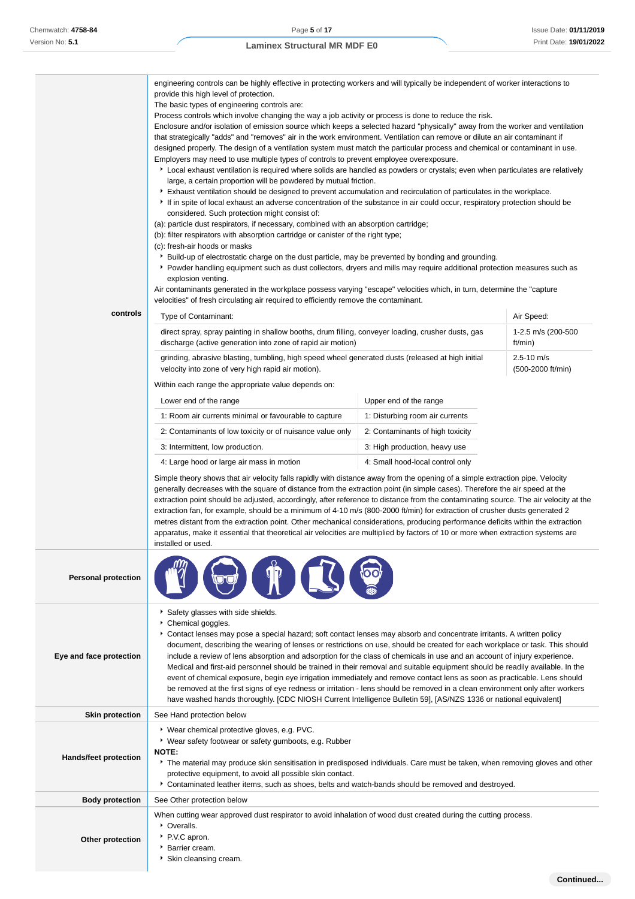| controls                   | provide this high level of protection.<br>The basic types of engineering controls are:<br>considered. Such protection might consist of:<br>(c): fresh-air hoods or masks<br>explosion venting.<br>Type of Contaminant:<br>discharge (active generation into zone of rapid air motion)<br>velocity into zone of very high rapid air motion).<br>Within each range the appropriate value depends on:<br>Lower end of the range<br>1: Room air currents minimal or favourable to capture<br>2: Contaminants of low toxicity or of nuisance value only<br>3: Intermittent, low production.<br>4: Large hood or large air mass in motion<br>apparatus, make it essential that theoretical air velocities are multiplied by factors of 10 or more when extraction systems are<br>installed or used.                                                                                                                                                                 | engineering controls can be highly effective in protecting workers and will typically be independent of worker interactions to<br>Process controls which involve changing the way a job activity or process is done to reduce the risk.<br>Enclosure and/or isolation of emission source which keeps a selected hazard "physically" away from the worker and ventilation<br>that strategically "adds" and "removes" air in the work environment. Ventilation can remove or dilute an air contaminant if<br>designed properly. The design of a ventilation system must match the particular process and chemical or contaminant in use.<br>Employers may need to use multiple types of controls to prevent employee overexposure.<br>▶ Local exhaust ventilation is required where solids are handled as powders or crystals; even when particulates are relatively<br>large, a certain proportion will be powdered by mutual friction.<br>Exhaust ventilation should be designed to prevent accumulation and recirculation of particulates in the workplace.<br>If in spite of local exhaust an adverse concentration of the substance in air could occur, respiratory protection should be<br>(a): particle dust respirators, if necessary, combined with an absorption cartridge;<br>(b): filter respirators with absorption cartridge or canister of the right type;<br>▶ Build-up of electrostatic charge on the dust particle, may be prevented by bonding and grounding.<br>▶ Powder handling equipment such as dust collectors, dryers and mills may require additional protection measures such as<br>Air contaminants generated in the workplace possess varying "escape" velocities which, in turn, determine the "capture<br>velocities" of fresh circulating air required to efficiently remove the contaminant.<br>Air Speed:<br>1-2.5 m/s (200-500<br>direct spray, spray painting in shallow booths, drum filling, conveyer loading, crusher dusts, gas<br>ft/min)<br>$2.5 - 10$ m/s<br>grinding, abrasive blasting, tumbling, high speed wheel generated dusts (released at high initial<br>(500-2000 ft/min)<br>Upper end of the range<br>1: Disturbing room air currents<br>2: Contaminants of high toxicity<br>3: High production, heavy use<br>4: Small hood-local control only<br>Simple theory shows that air velocity falls rapidly with distance away from the opening of a simple extraction pipe. Velocity<br>generally decreases with the square of distance from the extraction point (in simple cases). Therefore the air speed at the<br>extraction point should be adjusted, accordingly, after reference to distance from the contaminating source. The air velocity at the<br>extraction fan, for example, should be a minimum of 4-10 m/s (800-2000 ft/min) for extraction of crusher dusts generated 2<br>metres distant from the extraction point. Other mechanical considerations, producing performance deficits within the extraction |  |  |
|----------------------------|---------------------------------------------------------------------------------------------------------------------------------------------------------------------------------------------------------------------------------------------------------------------------------------------------------------------------------------------------------------------------------------------------------------------------------------------------------------------------------------------------------------------------------------------------------------------------------------------------------------------------------------------------------------------------------------------------------------------------------------------------------------------------------------------------------------------------------------------------------------------------------------------------------------------------------------------------------------|------------------------------------------------------------------------------------------------------------------------------------------------------------------------------------------------------------------------------------------------------------------------------------------------------------------------------------------------------------------------------------------------------------------------------------------------------------------------------------------------------------------------------------------------------------------------------------------------------------------------------------------------------------------------------------------------------------------------------------------------------------------------------------------------------------------------------------------------------------------------------------------------------------------------------------------------------------------------------------------------------------------------------------------------------------------------------------------------------------------------------------------------------------------------------------------------------------------------------------------------------------------------------------------------------------------------------------------------------------------------------------------------------------------------------------------------------------------------------------------------------------------------------------------------------------------------------------------------------------------------------------------------------------------------------------------------------------------------------------------------------------------------------------------------------------------------------------------------------------------------------------------------------------------------------------------------------------------------------------------------------------------------------------------------------------------------------------------------------------------------------------------------------------------------------------------------------------------------------------------------------------------------------------------------------------------------------------------------------------------------------------------------------------------------------------------------------------------------------------------------------------------------------------------------------------------------------------------------------------------------------------------------------------------------------------------------------------------------------------------------------------------------------------------------------------------------------------------------------------------------------------------------------------------------------------------------------------------------------|--|--|
| <b>Personal protection</b> |                                                                                                                                                                                                                                                                                                                                                                                                                                                                                                                                                                                                                                                                                                                                                                                                                                                                                                                                                               |                                                                                                                                                                                                                                                                                                                                                                                                                                                                                                                                                                                                                                                                                                                                                                                                                                                                                                                                                                                                                                                                                                                                                                                                                                                                                                                                                                                                                                                                                                                                                                                                                                                                                                                                                                                                                                                                                                                                                                                                                                                                                                                                                                                                                                                                                                                                                                                                                                                                                                                                                                                                                                                                                                                                                                                                                                                                                                                                                                              |  |  |
| Eye and face protection    | Safety glasses with side shields.<br>Chemical goggles.<br>Contact lenses may pose a special hazard; soft contact lenses may absorb and concentrate irritants. A written policy<br>document, describing the wearing of lenses or restrictions on use, should be created for each workplace or task. This should<br>include a review of lens absorption and adsorption for the class of chemicals in use and an account of injury experience.<br>Medical and first-aid personnel should be trained in their removal and suitable equipment should be readily available. In the<br>event of chemical exposure, begin eye irrigation immediately and remove contact lens as soon as practicable. Lens should<br>be removed at the first signs of eye redness or irritation - lens should be removed in a clean environment only after workers<br>have washed hands thoroughly. [CDC NIOSH Current Intelligence Bulletin 59], [AS/NZS 1336 or national equivalent] |                                                                                                                                                                                                                                                                                                                                                                                                                                                                                                                                                                                                                                                                                                                                                                                                                                                                                                                                                                                                                                                                                                                                                                                                                                                                                                                                                                                                                                                                                                                                                                                                                                                                                                                                                                                                                                                                                                                                                                                                                                                                                                                                                                                                                                                                                                                                                                                                                                                                                                                                                                                                                                                                                                                                                                                                                                                                                                                                                                              |  |  |
| <b>Skin protection</b>     | See Hand protection below                                                                                                                                                                                                                                                                                                                                                                                                                                                                                                                                                                                                                                                                                                                                                                                                                                                                                                                                     |                                                                                                                                                                                                                                                                                                                                                                                                                                                                                                                                                                                                                                                                                                                                                                                                                                                                                                                                                                                                                                                                                                                                                                                                                                                                                                                                                                                                                                                                                                                                                                                                                                                                                                                                                                                                                                                                                                                                                                                                                                                                                                                                                                                                                                                                                                                                                                                                                                                                                                                                                                                                                                                                                                                                                                                                                                                                                                                                                                              |  |  |
| Hands/feet protection      | ▶ Wear chemical protective gloves, e.g. PVC.<br>▶ Wear safety footwear or safety gumboots, e.g. Rubber<br>NOTE:<br>▶ The material may produce skin sensitisation in predisposed individuals. Care must be taken, when removing gloves and other<br>protective equipment, to avoid all possible skin contact.<br>Contaminated leather items, such as shoes, belts and watch-bands should be removed and destroyed.                                                                                                                                                                                                                                                                                                                                                                                                                                                                                                                                             |                                                                                                                                                                                                                                                                                                                                                                                                                                                                                                                                                                                                                                                                                                                                                                                                                                                                                                                                                                                                                                                                                                                                                                                                                                                                                                                                                                                                                                                                                                                                                                                                                                                                                                                                                                                                                                                                                                                                                                                                                                                                                                                                                                                                                                                                                                                                                                                                                                                                                                                                                                                                                                                                                                                                                                                                                                                                                                                                                                              |  |  |
| <b>Body protection</b>     | See Other protection below                                                                                                                                                                                                                                                                                                                                                                                                                                                                                                                                                                                                                                                                                                                                                                                                                                                                                                                                    |                                                                                                                                                                                                                                                                                                                                                                                                                                                                                                                                                                                                                                                                                                                                                                                                                                                                                                                                                                                                                                                                                                                                                                                                                                                                                                                                                                                                                                                                                                                                                                                                                                                                                                                                                                                                                                                                                                                                                                                                                                                                                                                                                                                                                                                                                                                                                                                                                                                                                                                                                                                                                                                                                                                                                                                                                                                                                                                                                                              |  |  |

- **Other protection** P.V.C apron.
	- **Barrier cream.** 
		- Skin cleansing cream.
			-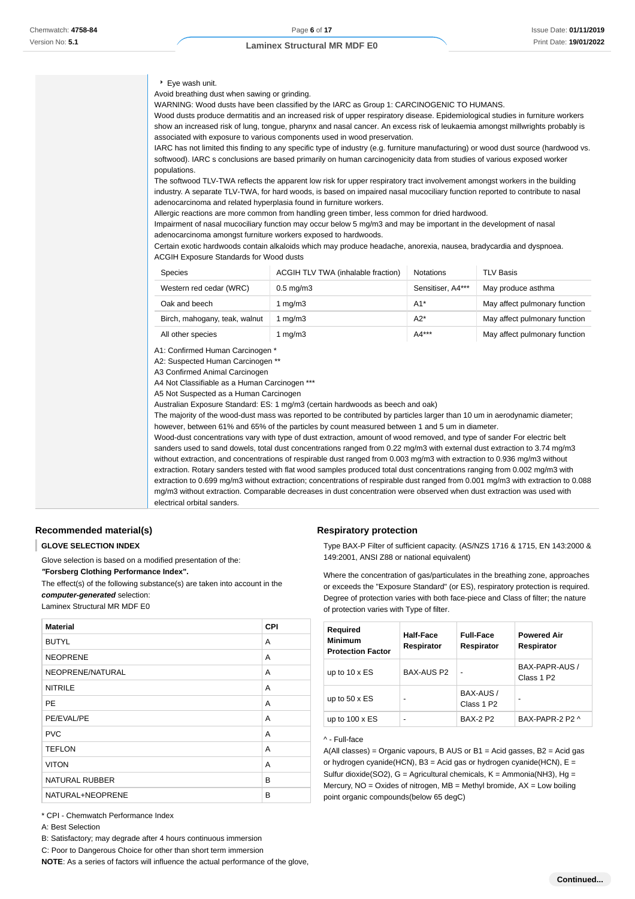#### Eye wash unit.

Avoid breathing dust when sawing or grinding.

WARNING: Wood dusts have been classified by the IARC as Group 1: CARCINOGENIC TO HUMANS.

Wood dusts produce dermatitis and an increased risk of upper respiratory disease. Epidemiological studies in furniture workers show an increased risk of lung, tongue, pharynx and nasal cancer. An excess risk of leukaemia amongst millwrights probably is associated with exposure to various components used in wood preservation.

IARC has not limited this finding to any specific type of industry (e.g. furniture manufacturing) or wood dust source (hardwood vs. softwood). IARC s conclusions are based primarily on human carcinogenicity data from studies of various exposed worker populations.

The softwood TLV-TWA reflects the apparent low risk for upper respiratory tract involvement amongst workers in the building industry. A separate TLV-TWA, for hard woods, is based on impaired nasal mucociliary function reported to contribute to nasal adenocarcinoma and related hyperplasia found in furniture workers.

Allergic reactions are more common from handling green timber, less common for dried hardwood.

Impairment of nasal mucociliary function may occur below 5 mg/m3 and may be important in the development of nasal adenocarcinoma amongst furniture workers exposed to hardwoods.

Certain exotic hardwoods contain alkaloids which may produce headache, anorexia, nausea, bradycardia and dyspnoea. ACGIH Exposure Standards for Wood dusts

| <b>Species</b>                | ACGIH TLV TWA (inhalable fraction) | <b>Notations</b>  | <b>TLV Basis</b>              |
|-------------------------------|------------------------------------|-------------------|-------------------------------|
| Western red cedar (WRC)       | $0.5 \text{ mg/m}$ 3               | Sensitiser, A4*** | May produce asthma            |
| Oak and beech                 | 1 mg/m3                            | $A1*$             | May affect pulmonary function |
| Birch, mahogany, teak, walnut | 1 ma/m3                            | A2*               | May affect pulmonary function |
| All other species             | 1 mg/m $3$                         | A4***             | May affect pulmonary function |

A1: Confirmed Human Carcinogen \*

A2: Suspected Human Carcinogen \*\*

A3 Confirmed Animal Carcinogen

A4 Not Classifiable as a Human Carcinogen \*\*\*

A5 Not Suspected as a Human Carcinogen

Australian Exposure Standard: ES: 1 mg/m3 (certain hardwoods as beech and oak)

The majority of the wood-dust mass was reported to be contributed by particles larger than 10 um in aerodynamic diameter; however, between 61% and 65% of the particles by count measured between 1 and 5 um in diameter.

Wood-dust concentrations vary with type of dust extraction, amount of wood removed, and type of sander For electric belt sanders used to sand dowels, total dust concentrations ranged from 0.22 mg/m3 with external dust extraction to 3.74 mg/m3 without extraction, and concentrations of respirable dust ranged from 0.003 mg/m3 with extraction to 0.936 mg/m3 without extraction. Rotary sanders tested with flat wood samples produced total dust concentrations ranging from 0.002 mg/m3 with extraction to 0.699 mg/m3 without extraction; concentrations of respirable dust ranged from 0.001 mg/m3 with extraction to 0.088 mg/m3 without extraction. Comparable decreases in dust concentration were observed when dust extraction was used with electrical orbital sanders.

#### **Recommended material(s)**

#### **GLOVE SELECTION INDEX**

Glove selection is based on a modified presentation of the:

**"Forsberg Clothing Performance Index".**

The effect(s) of the following substance(s) are taken into account in the **computer-generated** selection:

Laminex Structural MR MDF E0

| <b>Material</b>       | <b>CPI</b> |
|-----------------------|------------|
| <b>BUTYL</b>          | A          |
| <b>NEOPRENE</b>       | A          |
| NEOPRENE/NATURAL      | A          |
| <b>NITRILE</b>        | A          |
| PE                    | A          |
| PE/EVAL/PE            | A          |
| <b>PVC</b>            | A          |
| <b>TEFLON</b>         | A          |
| <b>VITON</b>          | A          |
| <b>NATURAL RUBBER</b> | B          |
| NATURAL+NEOPRENE      | B          |

\* CPI - Chemwatch Performance Index

A: Best Selection

C: Poor to Dangerous Choice for other than short term immersion

**NOTE**: As a series of factors will influence the actual performance of the glove,

#### **Respiratory protection**

Type BAX-P Filter of sufficient capacity. (AS/NZS 1716 & 1715, EN 143:2000 & 149:2001, ANSI Z88 or national equivalent)

Where the concentration of gas/particulates in the breathing zone, approaches or exceeds the "Exposure Standard" (or ES), respiratory protection is required. Degree of protection varies with both face-piece and Class of filter; the nature of protection varies with Type of filter.

| <b>Required</b><br><b>Minimum</b><br><b>Protection Factor</b> | Half-Face<br>Respirator | <b>Full-Face</b><br>Respirator      | <b>Powered Air</b><br>Respirator         |
|---------------------------------------------------------------|-------------------------|-------------------------------------|------------------------------------------|
| up to $10 \times ES$                                          | BAX-AUS P2              | -                                   | BAX-PAPR-AUS /<br>Class 1 P <sub>2</sub> |
| up to $50 \times ES$                                          |                         | BAX-AUS /<br>Class 1 P <sub>2</sub> | ۰                                        |
| up to $100 \times ES$                                         | -                       | <b>BAX-2 P2</b>                     | BAX-PAPR-2 P2 ^                          |

#### ^ - Full-face

A(All classes) = Organic vapours, B AUS or B1 = Acid gasses, B2 = Acid gas or hydrogen cyanide(HCN), B3 = Acid gas or hydrogen cyanide(HCN), E = Sulfur dioxide(SO2),  $G =$  Agricultural chemicals,  $K =$  Ammonia(NH3), Hg = Mercury,  $NO = Oxides$  of nitrogen,  $MB = Methyl$  bromide,  $AX = Low$  boiling point organic compounds(below 65 degC)

B: Satisfactory; may degrade after 4 hours continuous immersion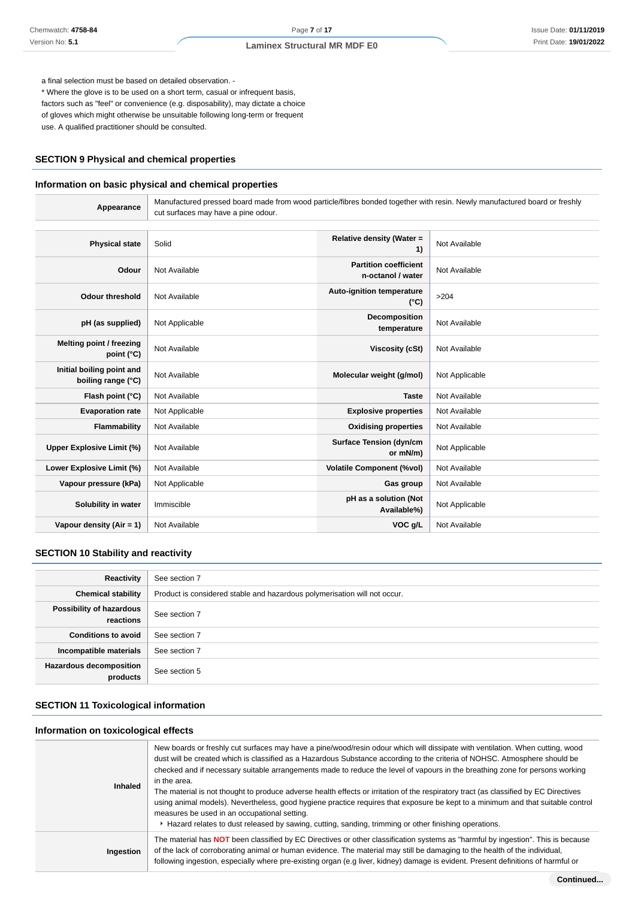a final selection must be based on detailed observation. -

\* Where the glove is to be used on a short term, casual or infrequent basis, factors such as "feel" or convenience (e.g. disposability), may dictate a choice of gloves which might otherwise be unsuitable following long-term or frequent use. A qualified practitioner should be consulted.

## **SECTION 9 Physical and chemical properties**

#### **Information on basic physical and chemical properties**

**Appearance** Manufactured pressed board made from wood particle/fibres bonded together with resin. Newly manufactured board or freshly cut surfaces may have a pine odour.

| <b>Physical state</b>                           | Solid          | Relative density (Water =<br>1)                   | Not Available  |
|-------------------------------------------------|----------------|---------------------------------------------------|----------------|
| Odour                                           | Not Available  | <b>Partition coefficient</b><br>n-octanol / water | Not Available  |
| <b>Odour threshold</b>                          | Not Available  | Auto-ignition temperature<br>$(^{\circ}C)$        | >204           |
| pH (as supplied)                                | Not Applicable | Decomposition<br>temperature                      | Not Available  |
| Melting point / freezing<br>point (°C)          | Not Available  | <b>Viscosity (cSt)</b>                            | Not Available  |
| Initial boiling point and<br>boiling range (°C) | Not Available  | Molecular weight (g/mol)                          | Not Applicable |
| Flash point (°C)                                | Not Available  | <b>Taste</b>                                      | Not Available  |
| <b>Evaporation rate</b>                         | Not Applicable | <b>Explosive properties</b>                       | Not Available  |
| Flammability                                    | Not Available  | <b>Oxidising properties</b>                       | Not Available  |
| Upper Explosive Limit (%)                       | Not Available  | <b>Surface Tension (dyn/cm</b><br>or mN/m)        | Not Applicable |
| Lower Explosive Limit (%)                       | Not Available  | <b>Volatile Component (%vol)</b>                  | Not Available  |
| Vapour pressure (kPa)                           | Not Applicable | Gas group                                         | Not Available  |
| Solubility in water                             | Immiscible     | pH as a solution (Not<br>Available%)              | Not Applicable |
| Vapour density $(Air = 1)$                      | Not Available  | VOC g/L                                           | Not Available  |

## **SECTION 10 Stability and reactivity**

| Reactivity                                 | See section 7                                                             |
|--------------------------------------------|---------------------------------------------------------------------------|
| <b>Chemical stability</b>                  | Product is considered stable and hazardous polymerisation will not occur. |
| Possibility of hazardous<br>reactions      | See section 7                                                             |
| <b>Conditions to avoid</b>                 | See section 7                                                             |
| Incompatible materials                     | See section 7                                                             |
| <b>Hazardous decomposition</b><br>products | See section 5                                                             |

## **SECTION 11 Toxicological information**

## **Information on toxicological effects**

| <b>Inhaled</b> | New boards or freshly cut surfaces may have a pine/wood/resin odour which will dissipate with ventilation. When cutting, wood<br>dust will be created which is classified as a Hazardous Substance according to the criteria of NOHSC. Atmosphere should be<br>checked and if necessary suitable arrangements made to reduce the level of vapours in the breathing zone for persons working<br>in the area.<br>The material is not thought to produce adverse health effects or irritation of the respiratory tract (as classified by EC Directives<br>using animal models). Nevertheless, good hygiene practice requires that exposure be kept to a minimum and that suitable control<br>measures be used in an occupational setting.<br>Hazard relates to dust released by sawing, cutting, sanding, trimming or other finishing operations. |
|----------------|------------------------------------------------------------------------------------------------------------------------------------------------------------------------------------------------------------------------------------------------------------------------------------------------------------------------------------------------------------------------------------------------------------------------------------------------------------------------------------------------------------------------------------------------------------------------------------------------------------------------------------------------------------------------------------------------------------------------------------------------------------------------------------------------------------------------------------------------|
| Ingestion      | The material has <b>NOT</b> been classified by EC Directives or other classification systems as "harmful by ingestion". This is because<br>of the lack of corroborating animal or human evidence. The material may still be damaging to the health of the individual,<br>following ingestion, especially where pre-existing organ (e.g liver, kidney) damage is evident. Present definitions of harmful or                                                                                                                                                                                                                                                                                                                                                                                                                                     |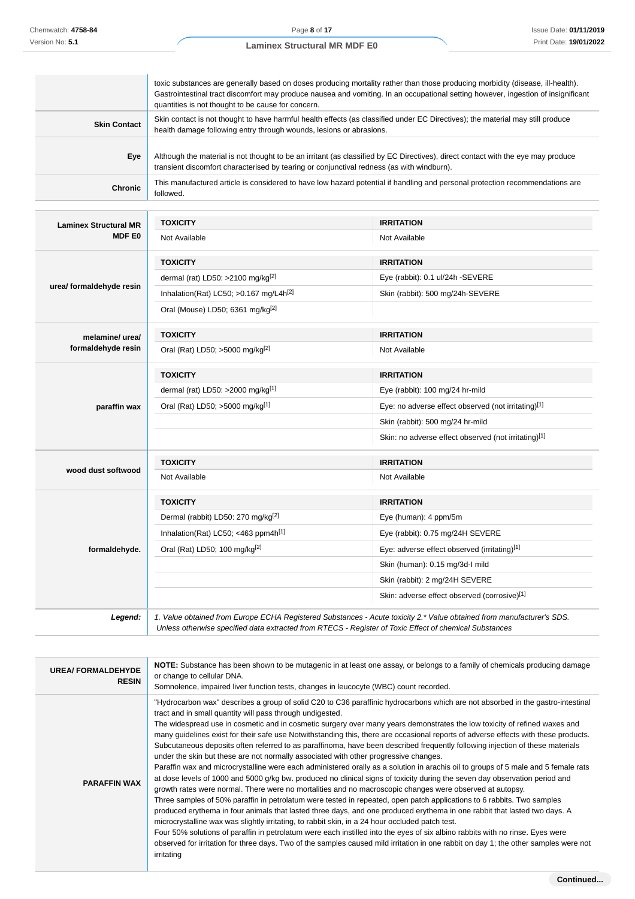| <b>Laminex Structural MR MDF E0</b> |  |  |
|-------------------------------------|--|--|
|                                     |  |  |

| <b>Laminex Structural MR</b> | TOXICITY                                                                                                                                                                                                                                                                                                                  | <b>IRRITATION</b> |
|------------------------------|---------------------------------------------------------------------------------------------------------------------------------------------------------------------------------------------------------------------------------------------------------------------------------------------------------------------------|-------------------|
| <b>Chronic</b>               | This manufactured article is considered to have low hazard potential if handling and personal protection recommendations are<br>followed.                                                                                                                                                                                 |                   |
| Eye                          | Although the material is not thought to be an irritant (as classified by EC Directives), direct contact with the eye may produce<br>transient discomfort characterised by tearing or conjunctival redness (as with windburn).                                                                                             |                   |
| <b>Skin Contact</b>          | Skin contact is not thought to have harmful health effects (as classified under EC Directives); the material may still produce<br>health damage following entry through wounds, lesions or abrasions.                                                                                                                     |                   |
|                              | toxic substances are generally based on doses producing mortality rather than those producing morbidity (disease, ill-health).<br>Gastrointestinal tract discomfort may produce nausea and vomiting. In an occupational setting however, ingestion of insignificant<br>quantities is not thought to be cause for concern. |                   |

| Laminex Structural MR    |                                                    |                                                      |  |
|--------------------------|----------------------------------------------------|------------------------------------------------------|--|
| <b>MDF E0</b>            | Not Available                                      | Not Available                                        |  |
|                          | <b>TOXICITY</b>                                    | <b>IRRITATION</b>                                    |  |
|                          | dermal (rat) LD50: >2100 mg/kg $[2]$               | Eye (rabbit): 0.1 ul/24h -SEVERE                     |  |
| urea/ formaldehyde resin | Inhalation(Rat) LC50; >0.167 mg/L4h <sup>[2]</sup> | Skin (rabbit): 500 mg/24h-SEVERE                     |  |
|                          | Oral (Mouse) LD50; 6361 mg/kg <sup>[2]</sup>       |                                                      |  |
| melamine/ urea/          | <b>TOXICITY</b>                                    | <b>IRRITATION</b>                                    |  |
| formaldehyde resin       | Oral (Rat) LD50; >5000 mg/kg <sup>[2]</sup>        | Not Available                                        |  |
|                          | <b>TOXICITY</b>                                    | <b>IRRITATION</b>                                    |  |
|                          | dermal (rat) LD50: >2000 mg/kg[1]                  | Eye (rabbit): 100 mg/24 hr-mild                      |  |
| paraffin wax             | Oral (Rat) LD50; >5000 mg/kg <sup>[1]</sup>        | Eye: no adverse effect observed (not irritating)[1]  |  |
|                          |                                                    | Skin (rabbit): 500 mg/24 hr-mild                     |  |
|                          |                                                    | Skin: no adverse effect observed (not irritating)[1] |  |
| wood dust softwood       | <b>TOXICITY</b>                                    | <b>IRRITATION</b>                                    |  |
|                          | Not Available                                      | Not Available                                        |  |
|                          | <b>TOXICITY</b>                                    | <b>IRRITATION</b>                                    |  |
|                          | Dermal (rabbit) LD50: 270 mg/kg <sup>[2]</sup>     | Eye (human): 4 ppm/5m                                |  |
|                          | Inhalation(Rat) LC50; <463 ppm4h[1]                | Eye (rabbit): 0.75 mg/24H SEVERE                     |  |
| formaldehyde.            | Oral (Rat) LD50; 100 mg/kg <sup>[2]</sup>          | Eye: adverse effect observed (irritating)[1]         |  |
|                          |                                                    | Skin (human): 0.15 mg/3d-l mild                      |  |
|                          |                                                    | Skin (rabbit): 2 mg/24H SEVERE                       |  |
|                          |                                                    | Skin: adverse effect observed (corrosive)[1]         |  |

| <b>UREA/FORMALDEHYDE</b><br><b>RESIN</b> | NOTE: Substance has been shown to be mutagenic in at least one assay, or belongs to a family of chemicals producing damage<br>or change to cellular DNA.<br>Somnolence, impaired liver function tests, changes in leucocyte (WBC) count recorded.                                                                                                                                                                                                                                                                                                                                                                                                                                                                                                                                                                                                                                                                                                                                                                                                                                                                                                                                                                                                                                                                                                                                                                                                                                                                                                                                                                                                                                                                           |
|------------------------------------------|-----------------------------------------------------------------------------------------------------------------------------------------------------------------------------------------------------------------------------------------------------------------------------------------------------------------------------------------------------------------------------------------------------------------------------------------------------------------------------------------------------------------------------------------------------------------------------------------------------------------------------------------------------------------------------------------------------------------------------------------------------------------------------------------------------------------------------------------------------------------------------------------------------------------------------------------------------------------------------------------------------------------------------------------------------------------------------------------------------------------------------------------------------------------------------------------------------------------------------------------------------------------------------------------------------------------------------------------------------------------------------------------------------------------------------------------------------------------------------------------------------------------------------------------------------------------------------------------------------------------------------------------------------------------------------------------------------------------------------|
| <b>PARAFFIN WAX</b>                      | "Hydrocarbon wax" describes a group of solid C20 to C36 paraffinic hydrocarbons which are not absorbed in the gastro-intestinal<br>tract and in small quantity will pass through undigested.<br>The widespread use in cosmetic and in cosmetic surgery over many years demonstrates the low toxicity of refined waxes and<br>many guidelines exist for their safe use Notwithstanding this, there are occasional reports of adverse effects with these products.<br>Subcutaneous deposits often referred to as paraffinoma, have been described frequently following injection of these materials<br>under the skin but these are not normally associated with other progressive changes.<br>Paraffin wax and microcrystalline were each administered orally as a solution in arachis oil to groups of 5 male and 5 female rats<br>at dose levels of 1000 and 5000 g/kg bw. produced no clinical signs of toxicity during the seven day observation period and<br>growth rates were normal. There were no mortalities and no macroscopic changes were observed at autopsy.<br>Three samples of 50% paraffin in petrolatum were tested in repeated, open patch applications to 6 rabbits. Two samples<br>produced erythema in four animals that lasted three days, and one produced erythema in one rabbit that lasted two days. A<br>microcrystalline wax was slightly irritating, to rabbit skin, in a 24 hour occluded patch test.<br>Four 50% solutions of paraffin in petrolatum were each instilled into the eyes of six albino rabbits with no rinse. Eyes were<br>observed for irritation for three days. Two of the samples caused mild irritation in one rabbit on day 1; the other samples were not<br>irritating |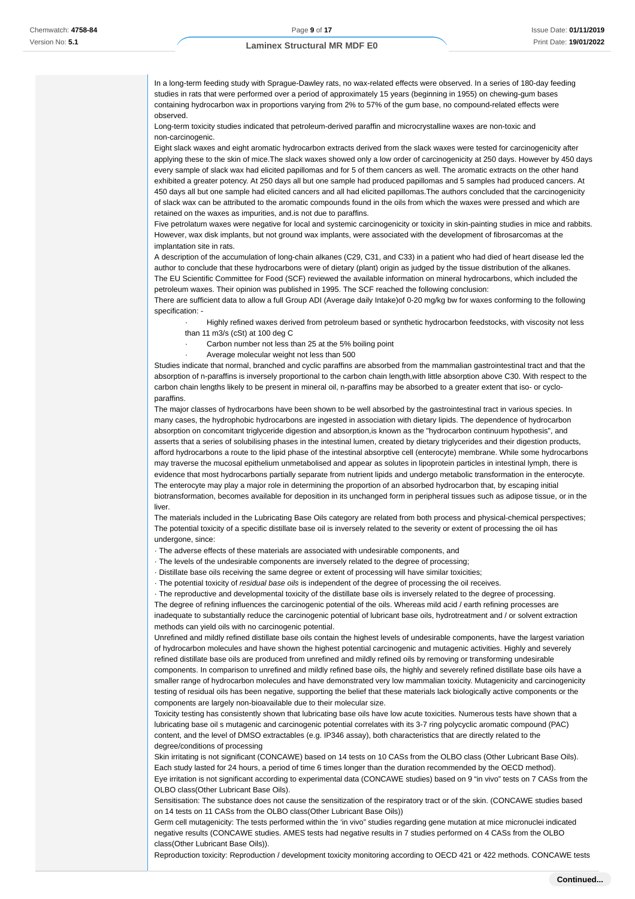In a long-term feeding study with Sprague-Dawley rats, no wax-related effects were observed. In a series of 180-day feeding studies in rats that were performed over a period of approximately 15 years (beginning in 1955) on chewing-gum bases containing hydrocarbon wax in proportions varying from 2% to 57% of the gum base, no compound-related effects were observed.

Long-term toxicity studies indicated that petroleum-derived paraffin and microcrystalline waxes are non-toxic and non-carcinogenic.

Eight slack waxes and eight aromatic hydrocarbon extracts derived from the slack waxes were tested for carcinogenicity after applying these to the skin of mice.The slack waxes showed only a low order of carcinogenicity at 250 days. However by 450 days every sample of slack wax had elicited papillomas and for 5 of them cancers as well. The aromatic extracts on the other hand exhibited a greater potency. At 250 days all but one sample had produced papillomas and 5 samples had produced cancers. At 450 days all but one sample had elicited cancers and all had elicited papillomas.The authors concluded that the carcinogenicity of slack wax can be attributed to the aromatic compounds found in the oils from which the waxes were pressed and which are retained on the waxes as impurities, and.is not due to paraffins.

Five petrolatum waxes were negative for local and systemic carcinogenicity or toxicity in skin-painting studies in mice and rabbits. However, wax disk implants, but not ground wax implants, were associated with the development of fibrosarcomas at the implantation site in rats.

A description of the accumulation of long-chain alkanes (C29, C31, and C33) in a patient who had died of heart disease led the author to conclude that these hydrocarbons were of dietary (plant) origin as judged by the tissue distribution of the alkanes. The EU Scientific Committee for Food (SCF) reviewed the available information on mineral hydrocarbons, which included the petroleum waxes. Their opinion was published in 1995. The SCF reached the following conclusion:

There are sufficient data to allow a full Group ADI (Average daily Intake)of 0-20 mg/kg bw for waxes conforming to the following specification: -

· Highly refined waxes derived from petroleum based or synthetic hydrocarbon feedstocks, with viscosity not less than 11 m3/s (cSt) at 100 deg C

- Carbon number not less than 25 at the 5% boiling point
- Average molecular weight not less than 500

Studies indicate that normal, branched and cyclic paraffins are absorbed from the mammalian gastrointestinal tract and that the absorption of n-paraffins is inversely proportional to the carbon chain length,with little absorption above C30. With respect to the carbon chain lengths likely to be present in mineral oil, n-paraffins may be absorbed to a greater extent that iso- or cycloparaffins.

The major classes of hydrocarbons have been shown to be well absorbed by the gastrointestinal tract in various species. In many cases, the hydrophobic hydrocarbons are ingested in association with dietary lipids. The dependence of hydrocarbon absorption on concomitant triglyceride digestion and absorption,is known as the "hydrocarbon continuum hypothesis", and asserts that a series of solubilising phases in the intestinal lumen, created by dietary triglycerides and their digestion products, afford hydrocarbons a route to the lipid phase of the intestinal absorptive cell (enterocyte) membrane. While some hydrocarbons may traverse the mucosal epithelium unmetabolised and appear as solutes in lipoprotein particles in intestinal lymph, there is evidence that most hydrocarbons partially separate from nutrient lipids and undergo metabolic transformation in the enterocyte. The enterocyte may play a major role in determining the proportion of an absorbed hydrocarbon that, by escaping initial biotransformation, becomes available for deposition in its unchanged form in peripheral tissues such as adipose tissue, or in the liver.

The materials included in the Lubricating Base Oils category are related from both process and physical-chemical perspectives; The potential toxicity of a specific distillate base oil is inversely related to the severity or extent of processing the oil has undergone, since:

· The adverse effects of these materials are associated with undesirable components, and

· The levels of the undesirable components are inversely related to the degree of processing;

· Distillate base oils receiving the same degree or extent of processing will have similar toxicities;

· The potential toxicity of residual base oils is independent of the degree of processing the oil receives.

· The reproductive and developmental toxicity of the distillate base oils is inversely related to the degree of processing.

The degree of refining influences the carcinogenic potential of the oils. Whereas mild acid / earth refining processes are

inadequate to substantially reduce the carcinogenic potential of lubricant base oils, hydrotreatment and / or solvent extraction methods can yield oils with no carcinogenic potential.

Unrefined and mildly refined distillate base oils contain the highest levels of undesirable components, have the largest variation of hydrocarbon molecules and have shown the highest potential carcinogenic and mutagenic activities. Highly and severely refined distillate base oils are produced from unrefined and mildly refined oils by removing or transforming undesirable components. In comparison to unrefined and mildly refined base oils, the highly and severely refined distillate base oils have a smaller range of hydrocarbon molecules and have demonstrated very low mammalian toxicity. Mutagenicity and carcinogenicity testing of residual oils has been negative, supporting the belief that these materials lack biologically active components or the components are largely non-bioavailable due to their molecular size.

Toxicity testing has consistently shown that lubricating base oils have low acute toxicities. Numerous tests have shown that a lubricating base oil s mutagenic and carcinogenic potential correlates with its 3-7 ring polycyclic aromatic compound (PAC) content, and the level of DMSO extractables (e.g. IP346 assay), both characteristics that are directly related to the degree/conditions of processing

Skin irritating is not significant (CONCAWE) based on 14 tests on 10 CASs from the OLBO class (Other Lubricant Base Oils). Each study lasted for 24 hours, a period of time 6 times longer than the duration recommended by the OECD method). Eye irritation is not significant according to experimental data (CONCAWE studies) based on 9 "in vivo" tests on 7 CASs from the OLBO class(Other Lubricant Base Oils).

Sensitisation: The substance does not cause the sensitization of the respiratory tract or of the skin. (CONCAWE studies based on 14 tests on 11 CASs from the OLBO class(Other Lubricant Base Oils))

Germ cell mutagenicity: The tests performed within the 'in vivo" studies regarding gene mutation at mice micronuclei indicated negative results (CONCAWE studies. AMES tests had negative results in 7 studies performed on 4 CASs from the OLBO class(Other Lubricant Base Oils)).

Reproduction toxicity: Reproduction / development toxicity monitoring according to OECD 421 or 422 methods. CONCAWE tests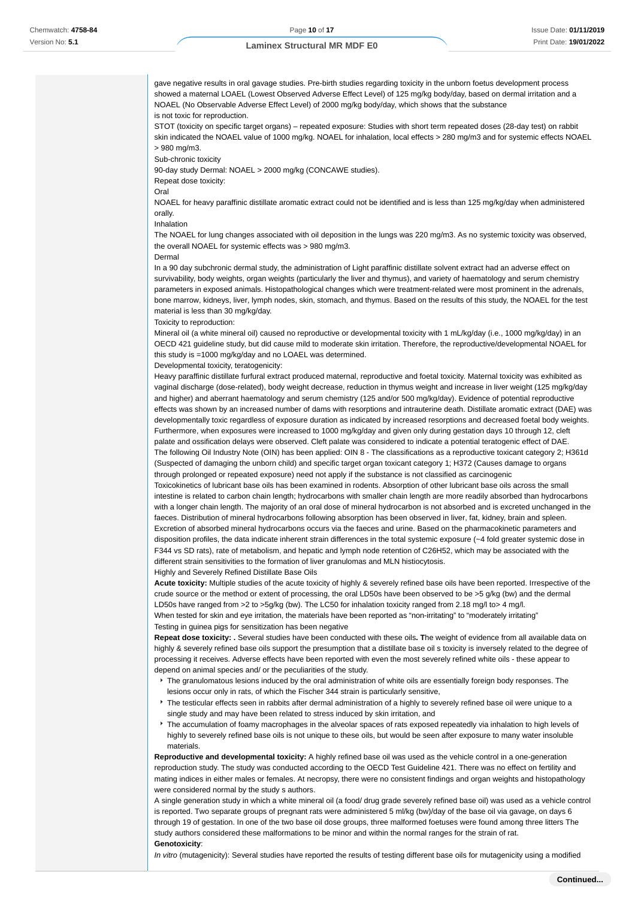gave negative results in oral gavage studies. Pre-birth studies regarding toxicity in the unborn foetus development process showed a maternal LOAEL (Lowest Observed Adverse Effect Level) of 125 mg/kg body/day, based on dermal irritation and a NOAEL (No Observable Adverse Effect Level) of 2000 mg/kg body/day, which shows that the substance is not toxic for reproduction.

STOT (toxicity on specific target organs) – repeated exposure: Studies with short term repeated doses (28-day test) on rabbit skin indicated the NOAEL value of 1000 mg/kg. NOAEL for inhalation, local effects > 280 mg/m3 and for systemic effects NOAEL > 980 mg/m3.

Sub-chronic toxicity

90-day study Dermal: NOAEL > 2000 mg/kg (CONCAWE studies).

Repeat dose toxicity:

Oral

NOAEL for heavy paraffinic distillate aromatic extract could not be identified and is less than 125 mg/kg/day when administered orally.

Inhalation

The NOAEL for lung changes associated with oil deposition in the lungs was 220 mg/m3. As no systemic toxicity was observed, the overall NOAEL for systemic effects was > 980 mg/m3.

Dermal

In a 90 day subchronic dermal study, the administration of Light paraffinic distillate solvent extract had an adverse effect on survivability, body weights, organ weights (particularly the liver and thymus), and variety of haematology and serum chemistry parameters in exposed animals. Histopathological changes which were treatment-related were most prominent in the adrenals, bone marrow, kidneys, liver, lymph nodes, skin, stomach, and thymus. Based on the results of this study, the NOAEL for the test material is less than 30 mg/kg/day.

Toxicity to reproduction:

Mineral oil (a white mineral oil) caused no reproductive or developmental toxicity with 1 mL/kg/day (i.e., 1000 mg/kg/day) in an OECD 421 guideline study, but did cause mild to moderate skin irritation. Therefore, the reproductive/developmental NOAEL for this study is =1000 mg/kg/day and no LOAEL was determined.

Developmental toxicity, teratogenicity:

Heavy paraffinic distillate furfural extract produced maternal, reproductive and foetal toxicity. Maternal toxicity was exhibited as vaginal discharge (dose-related), body weight decrease, reduction in thymus weight and increase in liver weight (125 mg/kg/day and higher) and aberrant haematology and serum chemistry (125 and/or 500 mg/kg/day). Evidence of potential reproductive effects was shown by an increased number of dams with resorptions and intrauterine death. Distillate aromatic extract (DAE) was developmentally toxic regardless of exposure duration as indicated by increased resorptions and decreased foetal body weights. Furthermore, when exposures were increased to 1000 mg/kg/day and given only during gestation days 10 through 12, cleft palate and ossification delays were observed. Cleft palate was considered to indicate a potential teratogenic effect of DAE. The following Oil Industry Note (OIN) has been applied: OIN 8 - The classifications as a reproductive toxicant category 2; H361d (Suspected of damaging the unborn child) and specific target organ toxicant category 1; H372 (Causes damage to organs through prolonged or repeated exposure) need not apply if the substance is not classified as carcinogenic

Toxicokinetics of lubricant base oils has been examined in rodents. Absorption of other lubricant base oils across the small intestine is related to carbon chain length; hydrocarbons with smaller chain length are more readily absorbed than hydrocarbons with a longer chain length. The majority of an oral dose of mineral hydrocarbon is not absorbed and is excreted unchanged in the faeces. Distribution of mineral hydrocarbons following absorption has been observed in liver, fat, kidney, brain and spleen. Excretion of absorbed mineral hydrocarbons occurs via the faeces and urine. Based on the pharmacokinetic parameters and disposition profiles, the data indicate inherent strain differences in the total systemic exposure (~4 fold greater systemic dose in F344 vs SD rats), rate of metabolism, and hepatic and lymph node retention of C26H52, which may be associated with the different strain sensitivities to the formation of liver granulomas and MLN histiocytosis. Highly and Severely Refined Distillate Base Oils

**Acute toxicity:** Multiple studies of the acute toxicity of highly & severely refined base oils have been reported. Irrespective of the crude source or the method or extent of processing, the oral LD50s have been observed to be >5 g/kg (bw) and the dermal LD50s have ranged from >2 to >5g/kg (bw). The LC50 for inhalation toxicity ranged from 2.18 mg/l to> 4 mg/l. When tested for skin and eye irritation, the materials have been reported as "non-irritating" to "moderately irritating" Testing in guinea pigs for sensitization has been negative

**Repeat dose toxicity: .** Several studies have been conducted with these oils**. T**he weight of evidence from all available data on highly & severely refined base oils support the presumption that a distillate base oil s toxicity is inversely related to the degree of processing it receives. Adverse effects have been reported with even the most severely refined white oils - these appear to depend on animal species and/ or the peculiarities of the study.

- The granulomatous lesions induced by the oral administration of white oils are essentially foreign body responses. The lesions occur only in rats, of which the Fischer 344 strain is particularly sensitive,
- The testicular effects seen in rabbits after dermal administration of a highly to severely refined base oil were unique to a single study and may have been related to stress induced by skin irritation, and
- The accumulation of foamy macrophages in the alveolar spaces of rats exposed repeatedly via inhalation to high levels of highly to severely refined base oils is not unique to these oils, but would be seen after exposure to many water insoluble materials.

**Reproductive and developmental toxicity:** A highly refined base oil was used as the vehicle control in a one-generation reproduction study. The study was conducted according to the OECD Test Guideline 421. There was no effect on fertility and mating indices in either males or females. At necropsy, there were no consistent findings and organ weights and histopathology were considered normal by the study s authors.

A single generation study in which a white mineral oil (a food/ drug grade severely refined base oil) was used as a vehicle control is reported. Two separate groups of pregnant rats were administered 5 ml/kg (bw)/day of the base oil via gavage, on days 6 through 19 of gestation. In one of the two base oil dose groups, three malformed foetuses were found among three litters The study authors considered these malformations to be minor and within the normal ranges for the strain of rat. **Genotoxicity**:

In vitro (mutagenicity): Several studies have reported the results of testing different base oils for mutagenicity using a modified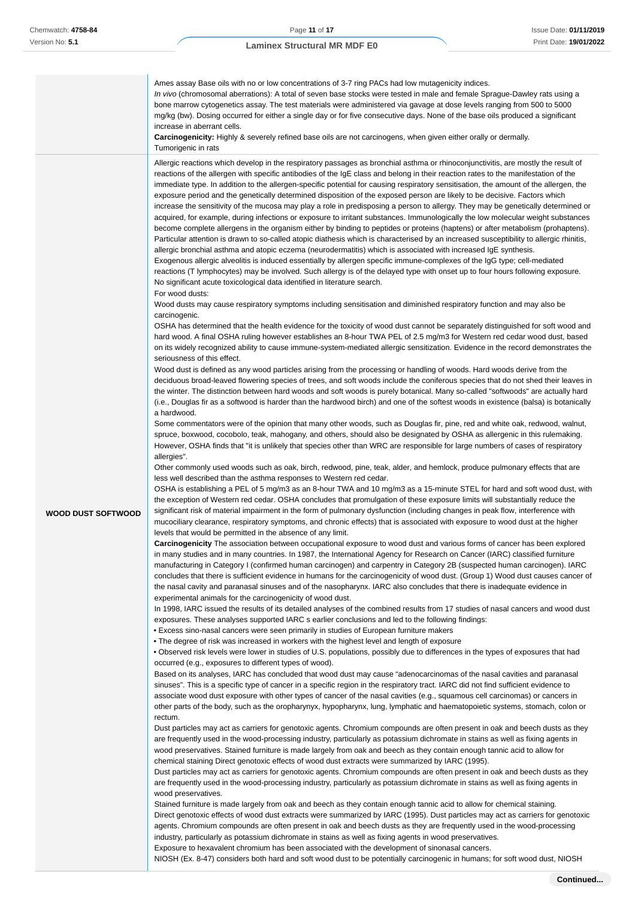| Allergic reactions which develop in the respiratory passages as bronchial asthma or rhinoconjunctivitis, are mostly the result of<br>reactions of the allergen with specific antibodies of the IgE class and belong in their reaction rates to the manifestation of the<br>immediate type. In addition to the allergen-specific potential for causing respiratory sensitisation, the amount of the allergen, the<br>exposure period and the genetically determined disposition of the exposed person are likely to be decisive. Factors which<br>increase the sensitivity of the mucosa may play a role in predisposing a person to allergy. They may be genetically determined or<br>acquired, for example, during infections or exposure to irritant substances. Immunologically the low molecular weight substances<br>become complete allergens in the organism either by binding to peptides or proteins (haptens) or after metabolism (prohaptens).<br>Particular attention is drawn to so-called atopic diathesis which is characterised by an increased susceptibility to allergic rhinitis,<br>allergic bronchial asthma and atopic eczema (neurodermatitis) which is associated with increased IgE synthesis.<br>Exogenous allergic alveolitis is induced essentially by allergen specific immune-complexes of the IgG type; cell-mediated<br>reactions (T lymphocytes) may be involved. Such allergy is of the delayed type with onset up to four hours following exposure.<br>No significant acute toxicological data identified in literature search.<br>For wood dusts:<br>Wood dusts may cause respiratory symptoms including sensitisation and diminished respiratory function and may also be<br>carcinogenic.<br>OSHA has determined that the health evidence for the toxicity of wood dust cannot be separately distinguished for soft wood and<br>hard wood. A final OSHA ruling however establishes an 8-hour TWA PEL of 2.5 mg/m3 for Western red cedar wood dust, based<br>on its widely recognized ability to cause immune-system-mediated allergic sensitization. Evidence in the record demonstrates the<br>seriousness of this effect.<br>Wood dust is defined as any wood particles arising from the processing or handling of woods. Hard woods derive from the<br>deciduous broad-leaved flowering species of trees, and soft woods include the coniferous species that do not shed their leaves in<br>the winter. The distinction between hard woods and soft woods is purely botanical. Many so-called "softwoods" are actually hard<br>(i.e., Douglas fir as a softwood is harder than the hardwood birch) and one of the softest woods in existence (balsa) is botanically<br>a hardwood.<br>Some commentators were of the opinion that many other woods, such as Douglas fir, pine, red and white oak, redwood, walnut,<br>spruce, boxwood, cocobolo, teak, mahogany, and others, should also be designated by OSHA as allergenic in this rulemaking.<br>However, OSHA finds that "it is unlikely that species other than WRC are responsible for large numbers of cases of respiratory<br>allergies".<br>Other commonly used woods such as oak, birch, redwood, pine, teak, alder, and hemlock, produce pulmonary effects that are<br>less well described than the asthma responses to Western red cedar.<br>OSHA is establishing a PEL of 5 mg/m3 as an 8-hour TWA and 10 mg/m3 as a 15-minute STEL for hard and soft wood dust, with<br>the exception of Western red cedar. OSHA concludes that promulgation of these exposure limits will substantially reduce the<br>significant risk of material impairment in the form of pulmonary dysfunction (including changes in peak flow, interference with<br><b>WOOD DUST SOFTWOOD</b><br>mucociliary clearance, respiratory symptoms, and chronic effects) that is associated with exposure to wood dust at the higher<br>levels that would be permitted in the absence of any limit.<br>Carcinogenicity The association between occupational exposure to wood dust and various forms of cancer has been explored<br>in many studies and in many countries. In 1987, the International Agency for Research on Cancer (IARC) classified furniture<br>manufacturing in Category I (confirmed human carcinogen) and carpentry in Category 2B (suspected human carcinogen). IARC<br>concludes that there is sufficient evidence in humans for the carcinogenicity of wood dust. (Group 1) Wood dust causes cancer of<br>the nasal cavity and paranasal sinuses and of the nasopharynx. IARC also concludes that there is inadequate evidence in<br>experimental animals for the carcinogenicity of wood dust.<br>In 1998, IARC issued the results of its detailed analyses of the combined results from 17 studies of nasal cancers and wood dust<br>exposures. These analyses supported IARC s earlier conclusions and led to the following findings:<br>• Excess sino-nasal cancers were seen primarily in studies of European furniture makers<br>• The degree of risk was increased in workers with the highest level and length of exposure<br>• Observed risk levels were lower in studies of U.S. populations, possibly due to differences in the types of exposures that had<br>occurred (e.g., exposures to different types of wood).<br>Based on its analyses, IARC has concluded that wood dust may cause "adenocarcinomas of the nasal cavities and paranasal<br>sinuses". This is a specific type of cancer in a specific region in the respiratory tract. IARC did not find sufficient evidence to<br>associate wood dust exposure with other types of cancer of the nasal cavities (e.g., squamous cell carcinomas) or cancers in<br>other parts of the body, such as the oropharynyx, hypopharynx, lung, lymphatic and haematopoietic systems, stomach, colon or<br>rectum.<br>Dust particles may act as carriers for genotoxic agents. Chromium compounds are often present in oak and beech dusts as they<br>are frequently used in the wood-processing industry, particularly as potassium dichromate in stains as well as fixing agents in<br>wood preservatives. Stained furniture is made largely from oak and beech as they contain enough tannic acid to allow for<br>chemical staining Direct genotoxic effects of wood dust extracts were summarized by IARC (1995).<br>Dust particles may act as carriers for genotoxic agents. Chromium compounds are often present in oak and beech dusts as they<br>are frequently used in the wood-processing industry, particularly as potassium dichromate in stains as well as fixing agents in<br>wood preservatives.<br>Stained furniture is made largely from oak and beech as they contain enough tannic acid to allow for chemical staining.<br>Direct genotoxic effects of wood dust extracts were summarized by IARC (1995). Dust particles may act as carriers for genotoxic<br>agents. Chromium compounds are often present in oak and beech dusts as they are frequently used in the wood-processing | Ames assay Base oils with no or low concentrations of 3-7 ring PACs had low mutagenicity indices.<br>In vivo (chromosomal aberrations): A total of seven base stocks were tested in male and female Sprague-Dawley rats using a<br>bone marrow cytogenetics assay. The test materials were administered via gavage at dose levels ranging from 500 to 5000<br>mg/kg (bw). Dosing occurred for either a single day or for five consecutive days. None of the base oils produced a significant<br>increase in aberrant cells.<br>Carcinogenicity: Highly & severely refined base oils are not carcinogens, when given either orally or dermally.<br>Tumorigenic in rats |
|------------------------------------------------------------------------------------------------------------------------------------------------------------------------------------------------------------------------------------------------------------------------------------------------------------------------------------------------------------------------------------------------------------------------------------------------------------------------------------------------------------------------------------------------------------------------------------------------------------------------------------------------------------------------------------------------------------------------------------------------------------------------------------------------------------------------------------------------------------------------------------------------------------------------------------------------------------------------------------------------------------------------------------------------------------------------------------------------------------------------------------------------------------------------------------------------------------------------------------------------------------------------------------------------------------------------------------------------------------------------------------------------------------------------------------------------------------------------------------------------------------------------------------------------------------------------------------------------------------------------------------------------------------------------------------------------------------------------------------------------------------------------------------------------------------------------------------------------------------------------------------------------------------------------------------------------------------------------------------------------------------------------------------------------------------------------------------------------------------------------------------------------------------------------------------------------------------------------------------------------------------------------------------------------------------------------------------------------------------------------------------------------------------------------------------------------------------------------------------------------------------------------------------------------------------------------------------------------------------------------------------------------------------------------------------------------------------------------------------------------------------------------------------------------------------------------------------------------------------------------------------------------------------------------------------------------------------------------------------------------------------------------------------------------------------------------------------------------------------------------------------------------------------------------------------------------------------------------------------------------------------------------------------------------------------------------------------------------------------------------------------------------------------------------------------------------------------------------------------------------------------------------------------------------------------------------------------------------------------------------------------------------------------------------------------------------------------------------------------------------------------------------------------------------------------------------------------------------------------------------------------------------------------------------------------------------------------------------------------------------------------------------------------------------------------------------------------------------------------------------------------------------------------------------------------------------------------------------------------------------------------------------------------------------------------------------------------------------------------------------------------------------------------------------------------------------------------------------------------------------------------------------------------------------------------------------------------------------------------------------------------------------------------------------------------------------------------------------------------------------------------------------------------------------------------------------------------------------------------------------------------------------------------------------------------------------------------------------------------------------------------------------------------------------------------------------------------------------------------------------------------------------------------------------------------------------------------------------------------------------------------------------------------------------------------------------------------------------------------------------------------------------------------------------------------------------------------------------------------------------------------------------------------------------------------------------------------------------------------------------------------------------------------------------------------------------------------------------------------------------------------------------------------------------------------------------------------------------------------------------------------------------------------------------------------------------------------------------------------------------------------------------------------------------------------------------------------------------------------------------------------------------------------------------------------------------------------------------------------------------------------------------------------------------------------------------------------------------------------------------------------------------------------------------------------------------------------------------------------------------------------------------------------------------------------------------------------------------------------------------------------------------------------------------------------------------------------------------------------------------------------------------------------------------------------------------------------------------------------------------------------------------------------------------------------------------------------------------------------------------------------------------------------------------------------------|-----------------------------------------------------------------------------------------------------------------------------------------------------------------------------------------------------------------------------------------------------------------------------------------------------------------------------------------------------------------------------------------------------------------------------------------------------------------------------------------------------------------------------------------------------------------------------------------------------------------------------------------------------------------------|
| Exposure to hexavalent chromium has been associated with the development of sinonasal cancers.                                                                                                                                                                                                                                                                                                                                                                                                                                                                                                                                                                                                                                                                                                                                                                                                                                                                                                                                                                                                                                                                                                                                                                                                                                                                                                                                                                                                                                                                                                                                                                                                                                                                                                                                                                                                                                                                                                                                                                                                                                                                                                                                                                                                                                                                                                                                                                                                                                                                                                                                                                                                                                                                                                                                                                                                                                                                                                                                                                                                                                                                                                                                                                                                                                                                                                                                                                                                                                                                                                                                                                                                                                                                                                                                                                                                                                                                                                                                                                                                                                                                                                                                                                                                                                                                                                                                                                                                                                                                                                                                                                                                                                                                                                                                                                                                                                                                                                                                                                                                                                                                                                                                                                                                                                                                                                                                                                                                                                                                                                                                                                                                                                                                                                                                                                                                                                                                                                                                                                                                                                                                                                                                                                                                                                                                                                                                                                                                                                                                                                                                                                                                                                                                                                                                                                                                                                                                                                                                                                   | industry, particularly as potassium dichromate in stains as well as fixing agents in wood preservatives.                                                                                                                                                                                                                                                                                                                                                                                                                                                                                                                                                              |

NIOSH (Ex. 8-47) considers both hard and soft wood dust to be potentially carcinogenic in humans; for soft wood dust, NIOSH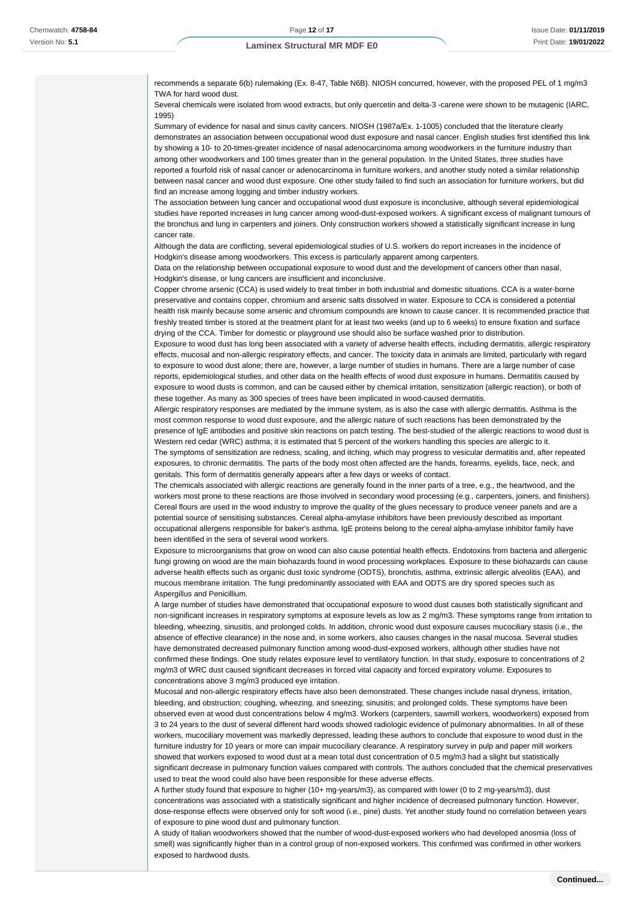recommends a separate 6(b) rulemaking (Ex. 8-47, Table N6B). NIOSH concurred, however, with the proposed PEL of 1 mg/m3 TWA for hard wood dust.

Several chemicals were isolated from wood extracts, but only quercetin and delta-3 -carene were shown to be mutagenic (IARC, 1995)

Summary of evidence for nasal and sinus cavity cancers. NIOSH (1987a/Ex. 1-1005) concluded that the literature clearly demonstrates an association between occupational wood dust exposure and nasal cancer. English studies first identified this link by showing a 10- to 20-times-greater incidence of nasal adenocarcinoma among woodworkers in the furniture industry than among other woodworkers and 100 times greater than in the general population. In the United States, three studies have reported a fourfold risk of nasal cancer or adenocarcinoma in furniture workers, and another study noted a similar relationship between nasal cancer and wood dust exposure. One other study failed to find such an association for furniture workers, but did find an increase among logging and timber industry workers.

The association between lung cancer and occupational wood dust exposure is inconclusive, although several epidemiological studies have reported increases in lung cancer among wood-dust-exposed workers. A significant excess of malignant tumours of the bronchus and lung in carpenters and joiners. Only construction workers showed a statistically significant increase in lung cancer rate.

Although the data are conflicting, several epidemiological studies of U.S. workers do report increases in the incidence of Hodgkin's disease among woodworkers. This excess is particularly apparent among carpenters.

Data on the relationship between occupational exposure to wood dust and the development of cancers other than nasal. Hodgkin's disease, or lung cancers are insufficient and inconclusive.

Copper chrome arsenic (CCA) is used widely to treat timber in both industrial and domestic situations. CCA is a water-borne preservative and contains copper, chromium and arsenic salts dissolved in water. Exposure to CCA is considered a potential health risk mainly because some arsenic and chromium compounds are known to cause cancer. It is recommended practice that freshly treated timber is stored at the treatment plant for at least two weeks (and up to 6 weeks) to ensure fixation and surface drying of the CCA. Timber for domestic or playground use should also be surface washed prior to distribution.

Exposure to wood dust has long been associated with a variety of adverse health effects, including dermatitis, allergic respiratory effects, mucosal and non-allergic respiratory effects, and cancer. The toxicity data in animals are limited, particularly with regard to exposure to wood dust alone; there are, however, a large number of studies in humans. There are a large number of case reports, epidemiological studies, and other data on the health effects of wood dust exposure in humans. Dermatitis caused by exposure to wood dusts is common, and can be caused either by chemical irritation, sensitization (allergic reaction), or both of these together. As many as 300 species of trees have been implicated in wood-caused dermatitis.

Allergic respiratory responses are mediated by the immune system, as is also the case with allergic dermatitis. Asthma is the most common response to wood dust exposure, and the allergic nature of such reactions has been demonstrated by the presence of IgE antibodies and positive skin reactions on patch testing. The best-studied of the allergic reactions to wood dust is Western red cedar (WRC) asthma; it is estimated that 5 percent of the workers handling this species are allergic to it. The symptoms of sensitization are redness, scaling, and itching, which may progress to vesicular dermatitis and, after repeated exposures, to chronic dermatitis. The parts of the body most often affected are the hands, forearms, eyelids, face, neck, and genitals. This form of dermatitis generally appears after a few days or weeks of contact.

The chemicals associated with allergic reactions are generally found in the inner parts of a tree, e.g., the heartwood, and the workers most prone to these reactions are those involved in secondary wood processing (e.g., carpenters, joiners, and finishers). Cereal flours are used in the wood industry to improve the quality of the glues necessary to produce veneer panels and are a potential source of sensitising substances. Cereal alpha-amylase inhibitors have been previously described as important occupational allergens responsible for baker's asthma. IgE proteins belong to the cereal alpha-amylase inhibitor family have been identified in the sera of several wood workers.

Exposure to microorganisms that grow on wood can also cause potential health effects. Endotoxins from bacteria and allergenic fungi growing on wood are the main biohazards found in wood processing workplaces. Exposure to these biohazards can cause adverse health effects such as organic dust toxic syndrome (ODTS), bronchitis, asthma, extrinsic allergic alveolitis (EAA), and mucous membrane irritation. The fungi predominantly associated with EAA and ODTS are dry spored species such as Aspergillus and Penicillium.

A large number of studies have demonstrated that occupational exposure to wood dust causes both statistically significant and non-significant increases in respiratory symptoms at exposure levels as low as 2 mg/m3. These symptoms range from irritation to bleeding, wheezing, sinusitis, and prolonged colds. In addition, chronic wood dust exposure causes mucociliary stasis (i.e., the absence of effective clearance) in the nose and, in some workers, also causes changes in the nasal mucosa. Several studies have demonstrated decreased pulmonary function among wood-dust-exposed workers, although other studies have not confirmed these findings. One study relates exposure level to ventilatory function. In that study, exposure to concentrations of 2 mg/m3 of WRC dust caused significant decreases in forced vital capacity and forced expiratory volume. Exposures to concentrations above 3 mg/m3 produced eye irritation.

Mucosal and non-allergic respiratory effects have also been demonstrated. These changes include nasal dryness, irritation, bleeding, and obstruction; coughing, wheezing, and sneezing; sinusitis; and prolonged colds. These symptoms have been observed even at wood dust concentrations below 4 mg/m3. Workers (carpenters, sawmill workers, woodworkers) exposed from 3 to 24 years to the dust of several different hard woods showed radiologic evidence of pulmonary abnormalities. In all of these workers, mucociliary movement was markedly depressed, leading these authors to conclude that exposure to wood dust in the furniture industry for 10 years or more can impair mucociliary clearance. A respiratory survey in pulp and paper mill workers showed that workers exposed to wood dust at a mean total dust concentration of 0.5 mg/m3 had a slight but statistically significant decrease in pulmonary function values compared with controls. The authors concluded that the chemical preservatives used to treat the wood could also have been responsible for these adverse effects.

A further study found that exposure to higher (10+ mg-years/m3), as compared with lower (0 to 2 mg-years/m3), dust concentrations was associated with a statistically significant and higher incidence of decreased pulmonary function. However, dose-response effects were observed only for soft wood (i.e., pine) dusts. Yet another study found no correlation between years of exposure to pine wood dust and pulmonary function.

A study of Italian woodworkers showed that the number of wood-dust-exposed workers who had developed anosmia (loss of smell) was significantly higher than in a control group of non-exposed workers. This confirmed was confirmed in other workers exposed to hardwood dusts.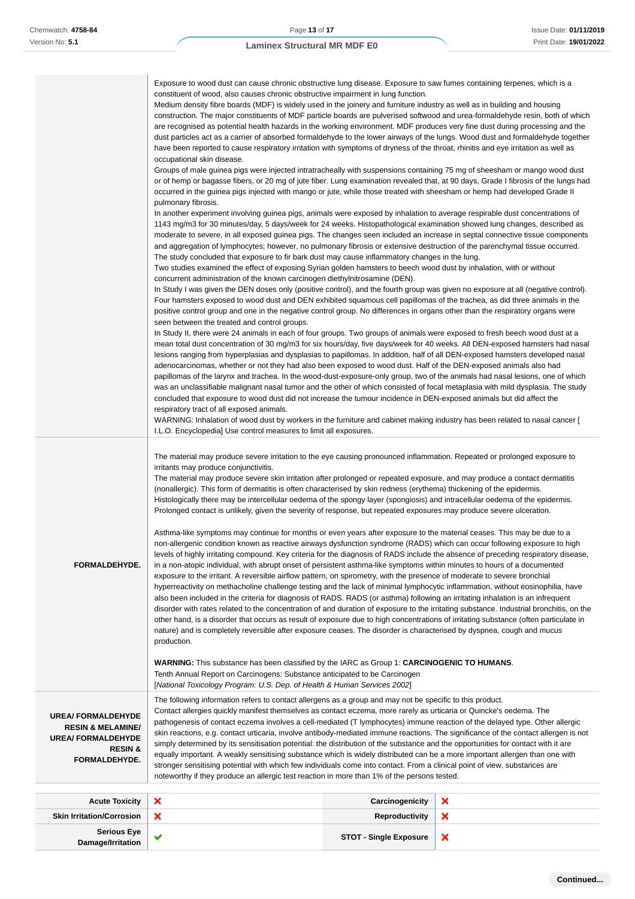|                                                                                                                               | Exposure to wood dust can cause chronic obstructive lung disease. Exposure to saw fumes containing terpenes, which is a<br>constituent of wood, also causes chronic obstructive impairment in lung function.<br>Medium density fibre boards (MDF) is widely used in the joinery and furniture industry as well as in building and housing<br>construction. The major constituents of MDF particle boards are pulverised softwood and urea-formaldehyde resin, both of which<br>are recognised as potential health hazards in the working environment. MDF produces very fine dust during processing and the<br>dust particles act as a carrier of absorbed formaldehyde to the lower airways of the lungs. Wood dust and formaldehyde together<br>have been reported to cause respiratory irritation with symptoms of dryness of the throat, rhinitis and eye irritation as well as<br>occupational skin disease.<br>Groups of male guinea pigs were injected intratracheally with suspensions containing 75 mg of sheesham or mango wood dust<br>or of hemp or bagasse fibers, or 20 mg of jute fiber. Lung examination revealed that, at 90 days, Grade I fibrosis of the lungs had<br>occurred in the guinea pigs injected with mango or jute, while those treated with sheesham or hemp had developed Grade II<br>pulmonary fibrosis.<br>In another experiment involving guinea pigs, animals were exposed by inhalation to average respirable dust concentrations of<br>1143 mg/m3 for 30 minutes/day, 5 days/week for 24 weeks. Histopathological examination showed lung changes, described as<br>moderate to severe, in all exposed guinea pigs. The changes seen included an increase in septal connective tissue components<br>and aggregation of lymphocytes; however, no pulmonary fibrosis or extensive destruction of the parenchymal tissue occurred.<br>The study concluded that exposure to fir bark dust may cause inflammatory changes in the lung.<br>Two studies examined the effect of exposing Syrian golden hamsters to beech wood dust by inhalation, with or without<br>concurrent administration of the known carcinogen diethylnitrosamine (DEN).<br>In Study I was given the DEN doses only (positive control), and the fourth group was given no exposure at all (negative control).<br>Four hamsters exposed to wood dust and DEN exhibited squamous cell papillomas of the trachea, as did three animals in the<br>positive control group and one in the negative control group. No differences in organs other than the respiratory organs were<br>seen between the treated and control groups.<br>In Study II, there were 24 animals in each of four groups. Two groups of animals were exposed to fresh beech wood dust at a<br>mean total dust concentration of 30 mg/m3 for six hours/day, five days/week for 40 weeks. All DEN-exposed hamsters had nasal<br>lesions ranging from hyperplasias and dysplasias to papillomas. In addition, half of all DEN-exposed hamsters developed nasal<br>adenocarcinomas, whether or not they had also been exposed to wood dust. Half of the DEN-exposed animals also had<br>papillomas of the larynx and trachea. In the wood-dust-exposure-only group, two of the animals had nasal lesions, one of which<br>was an unclassifiable malignant nasal tumor and the other of which consisted of focal metaplasia with mild dysplasia. The study<br>concluded that exposure to wood dust did not increase the tumour incidence in DEN-exposed animals but did affect the<br>respiratory tract of all exposed animals. |                               |   |
|-------------------------------------------------------------------------------------------------------------------------------|-------------------------------------------------------------------------------------------------------------------------------------------------------------------------------------------------------------------------------------------------------------------------------------------------------------------------------------------------------------------------------------------------------------------------------------------------------------------------------------------------------------------------------------------------------------------------------------------------------------------------------------------------------------------------------------------------------------------------------------------------------------------------------------------------------------------------------------------------------------------------------------------------------------------------------------------------------------------------------------------------------------------------------------------------------------------------------------------------------------------------------------------------------------------------------------------------------------------------------------------------------------------------------------------------------------------------------------------------------------------------------------------------------------------------------------------------------------------------------------------------------------------------------------------------------------------------------------------------------------------------------------------------------------------------------------------------------------------------------------------------------------------------------------------------------------------------------------------------------------------------------------------------------------------------------------------------------------------------------------------------------------------------------------------------------------------------------------------------------------------------------------------------------------------------------------------------------------------------------------------------------------------------------------------------------------------------------------------------------------------------------------------------------------------------------------------------------------------------------------------------------------------------------------------------------------------------------------------------------------------------------------------------------------------------------------------------------------------------------------------------------------------------------------------------------------------------------------------------------------------------------------------------------------------------------------------------------------------------------------------------------------------------------------------------------------------------------------------------------------------------------------------------------------------------------------------------------------------------------------------------------------------------------------------------------------------------------------------------------------------------------------------------------------------------------------------------------------------------------------------------------------------------------------------------------------------------------------------------|-------------------------------|---|
|                                                                                                                               | WARNING: Inhalation of wood dust by workers in the furniture and cabinet making industry has been related to nasal cancer [<br>I.L.O. Encyclopedia] Use control measures to limit all exposures.                                                                                                                                                                                                                                                                                                                                                                                                                                                                                                                                                                                                                                                                                                                                                                                                                                                                                                                                                                                                                                                                                                                                                                                                                                                                                                                                                                                                                                                                                                                                                                                                                                                                                                                                                                                                                                                                                                                                                                                                                                                                                                                                                                                                                                                                                                                                                                                                                                                                                                                                                                                                                                                                                                                                                                                                                                                                                                                                                                                                                                                                                                                                                                                                                                                                                                                                                                                                |                               |   |
| <b>FORMALDEHYDE.</b>                                                                                                          | The material may produce severe irritation to the eye causing pronounced inflammation. Repeated or prolonged exposure to<br>irritants may produce conjunctivitis.<br>The material may produce severe skin irritation after prolonged or repeated exposure, and may produce a contact dermatitis<br>(nonallergic). This form of dermatitis is often characterised by skin redness (erythema) thickening of the epidermis.<br>Histologically there may be intercellular oedema of the spongy layer (spongiosis) and intracellular oedema of the epidermis.<br>Prolonged contact is unlikely, given the severity of response, but repeated exposures may produce severe ulceration.<br>Asthma-like symptoms may continue for months or even years after exposure to the material ceases. This may be due to a<br>non-allergenic condition known as reactive airways dysfunction syndrome (RADS) which can occur following exposure to high<br>levels of highly irritating compound. Key criteria for the diagnosis of RADS include the absence of preceding respiratory disease,<br>in a non-atopic individual, with abrupt onset of persistent asthma-like symptoms within minutes to hours of a documented<br>exposure to the irritant. A reversible airflow pattern, on spirometry, with the presence of moderate to severe bronchial<br>hyperreactivity on methacholine challenge testing and the lack of minimal lymphocytic inflammation, without eosinophilia, have<br>also been included in the criteria for diagnosis of RADS. RADS (or asthma) following an irritating inhalation is an infrequent<br>disorder with rates related to the concentration of and duration of exposure to the irritating substance. Industrial bronchitis, on the<br>other hand, is a disorder that occurs as result of exposure due to high concentrations of irritating substance (often particulate in<br>nature) and is completely reversible after exposure ceases. The disorder is characterised by dyspnea, cough and mucus<br>production.<br><b>WARNING:</b> This substance has been classified by the IARC as Group 1: <b>CARCINOGENIC TO HUMANS</b> .                                                                                                                                                                                                                                                                                                                                                                                                                                                                                                                                                                                                                                                                                                                                                                                                                                                                                                                                                                                                                                                                                                                                                                                                                                                                                                                                                                                                                                              |                               |   |
|                                                                                                                               | Tenth Annual Report on Carcinogens: Substance anticipated to be Carcinogen<br>[National Toxicology Program: U.S. Dep. of Health & Human Services 2002]                                                                                                                                                                                                                                                                                                                                                                                                                                                                                                                                                                                                                                                                                                                                                                                                                                                                                                                                                                                                                                                                                                                                                                                                                                                                                                                                                                                                                                                                                                                                                                                                                                                                                                                                                                                                                                                                                                                                                                                                                                                                                                                                                                                                                                                                                                                                                                                                                                                                                                                                                                                                                                                                                                                                                                                                                                                                                                                                                                                                                                                                                                                                                                                                                                                                                                                                                                                                                                          |                               |   |
| <b>UREA/ FORMALDEHYDE</b><br><b>RESIN &amp; MELAMINE/</b><br><b>UREA/ FORMALDEHYDE</b><br><b>RESIN &amp;</b><br>FORMALDEHYDE. | The following information refers to contact allergens as a group and may not be specific to this product.<br>Contact allergies quickly manifest themselves as contact eczema, more rarely as urticaria or Quincke's oedema. The<br>pathogenesis of contact eczema involves a cell-mediated (T lymphocytes) immune reaction of the delayed type. Other allergic<br>skin reactions, e.g. contact urticaria, involve antibody-mediated immune reactions. The significance of the contact allergen is not<br>simply determined by its sensitisation potential: the distribution of the substance and the opportunities for contact with it are<br>equally important. A weakly sensitising substance which is widely distributed can be a more important allergen than one with<br>stronger sensitising potential with which few individuals come into contact. From a clinical point of view, substances are<br>noteworthy if they produce an allergic test reaction in more than 1% of the persons tested.                                                                                                                                                                                                                                                                                                                                                                                                                                                                                                                                                                                                                                                                                                                                                                                                                                                                                                                                                                                                                                                                                                                                                                                                                                                                                                                                                                                                                                                                                                                                                                                                                                                                                                                                                                                                                                                                                                                                                                                                                                                                                                                                                                                                                                                                                                                                                                                                                                                                                                                                                                                         |                               |   |
| <b>Acute Toxicity</b>                                                                                                         | ×                                                                                                                                                                                                                                                                                                                                                                                                                                                                                                                                                                                                                                                                                                                                                                                                                                                                                                                                                                                                                                                                                                                                                                                                                                                                                                                                                                                                                                                                                                                                                                                                                                                                                                                                                                                                                                                                                                                                                                                                                                                                                                                                                                                                                                                                                                                                                                                                                                                                                                                                                                                                                                                                                                                                                                                                                                                                                                                                                                                                                                                                                                                                                                                                                                                                                                                                                                                                                                                                                                                                                                                               | Carcinogenicity               | × |
| <b>Skin Irritation/Corrosion</b>                                                                                              | ×                                                                                                                                                                                                                                                                                                                                                                                                                                                                                                                                                                                                                                                                                                                                                                                                                                                                                                                                                                                                                                                                                                                                                                                                                                                                                                                                                                                                                                                                                                                                                                                                                                                                                                                                                                                                                                                                                                                                                                                                                                                                                                                                                                                                                                                                                                                                                                                                                                                                                                                                                                                                                                                                                                                                                                                                                                                                                                                                                                                                                                                                                                                                                                                                                                                                                                                                                                                                                                                                                                                                                                                               | <b>Reproductivity</b>         | × |
| <b>Serious Eye</b>                                                                                                            | ✔                                                                                                                                                                                                                                                                                                                                                                                                                                                                                                                                                                                                                                                                                                                                                                                                                                                                                                                                                                                                                                                                                                                                                                                                                                                                                                                                                                                                                                                                                                                                                                                                                                                                                                                                                                                                                                                                                                                                                                                                                                                                                                                                                                                                                                                                                                                                                                                                                                                                                                                                                                                                                                                                                                                                                                                                                                                                                                                                                                                                                                                                                                                                                                                                                                                                                                                                                                                                                                                                                                                                                                                               | <b>STOT - Single Exposure</b> | × |
| Damage/Irritation                                                                                                             |                                                                                                                                                                                                                                                                                                                                                                                                                                                                                                                                                                                                                                                                                                                                                                                                                                                                                                                                                                                                                                                                                                                                                                                                                                                                                                                                                                                                                                                                                                                                                                                                                                                                                                                                                                                                                                                                                                                                                                                                                                                                                                                                                                                                                                                                                                                                                                                                                                                                                                                                                                                                                                                                                                                                                                                                                                                                                                                                                                                                                                                                                                                                                                                                                                                                                                                                                                                                                                                                                                                                                                                                 |                               |   |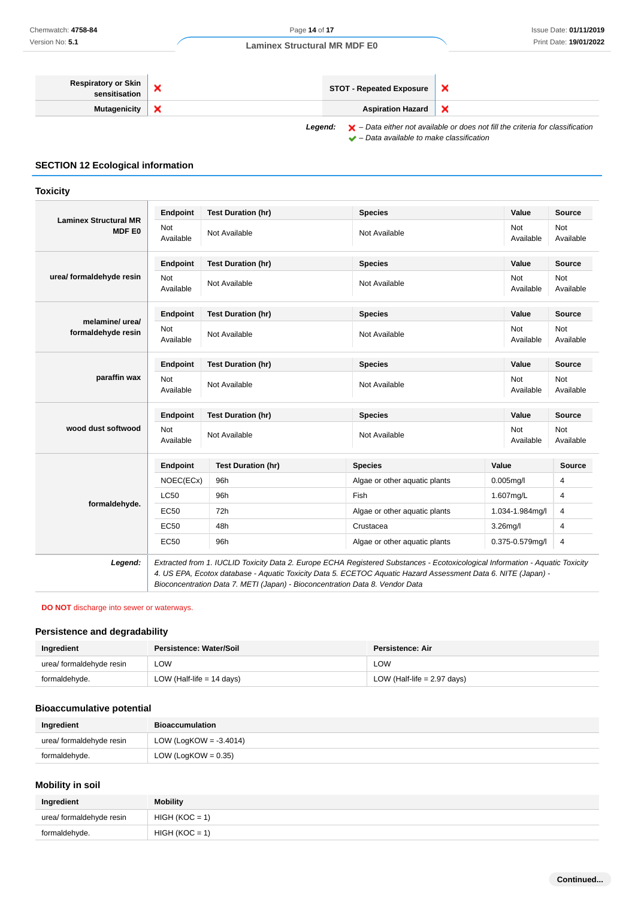## **Respiratory or Skin sensitisation**<br>**STOT - Repeated Exposure**<br>**STOT - Repeated Exposure**  $\overline{\mathbf{x}}$ **Mutagenicity X Aspiration Hazard** ×

## **SECTION 12 Ecological information**

| Chemwatch: 4758-84<br>Version No: 5.1                                                    |                                |                           | Page 14 of 17                                                                                                                                                                                                                                                                                                                  |                                                  |                         | <b>Issue Date: 01/11/201</b><br>Print Date: 19/01/202 |
|------------------------------------------------------------------------------------------|--------------------------------|---------------------------|--------------------------------------------------------------------------------------------------------------------------------------------------------------------------------------------------------------------------------------------------------------------------------------------------------------------------------|--------------------------------------------------|-------------------------|-------------------------------------------------------|
|                                                                                          |                                |                           | <b>Laminex Structural MR MDF E0</b>                                                                                                                                                                                                                                                                                            |                                                  |                         |                                                       |
| <b>Respiratory or Skin</b><br>sensitisation                                              | ×                              |                           | <b>STOT - Repeated Exposure</b>                                                                                                                                                                                                                                                                                                | ×                                                |                         |                                                       |
| <b>Mutagenicity</b>                                                                      | ×                              |                           | <b>Aspiration Hazard</b>                                                                                                                                                                                                                                                                                                       | ×                                                |                         |                                                       |
| <b>SECTION 12 Ecological information</b>                                                 |                                |                           | $\blacktriangleright$ - Data either not available or does not fill the criteria for classification<br>Legend:<br>$\blacktriangleright$ - Data available to make classification                                                                                                                                                 |                                                  |                         |                                                       |
| <b>Toxicity</b>                                                                          |                                |                           |                                                                                                                                                                                                                                                                                                                                |                                                  |                         |                                                       |
| <b>Laminex Structural MR</b>                                                             | <b>Endpoint</b>                | <b>Test Duration (hr)</b> | <b>Species</b>                                                                                                                                                                                                                                                                                                                 |                                                  | Value                   | <b>Source</b>                                         |
| <b>MDF E0</b>                                                                            | Not<br>Available               | Not Available             | Not Available                                                                                                                                                                                                                                                                                                                  |                                                  | Not<br>Available        | Not<br>Available                                      |
|                                                                                          | <b>Endpoint</b>                | <b>Test Duration (hr)</b> | <b>Species</b>                                                                                                                                                                                                                                                                                                                 |                                                  | Value                   | <b>Source</b>                                         |
| urea/ formaldehyde resin                                                                 | Not<br>Available               | Not Available             | Not Available                                                                                                                                                                                                                                                                                                                  |                                                  | Not<br>Available        | Not<br>Available                                      |
|                                                                                          | <b>Endpoint</b>                | <b>Test Duration (hr)</b> | <b>Species</b>                                                                                                                                                                                                                                                                                                                 |                                                  | Value                   | <b>Source</b>                                         |
| melamine/ urea/<br>formaldehyde resin                                                    | Not<br>Available               | Not Available             | Not Available                                                                                                                                                                                                                                                                                                                  |                                                  | Not<br>Available        | Not<br>Available                                      |
|                                                                                          | <b>Endpoint</b>                | <b>Test Duration (hr)</b> | <b>Species</b>                                                                                                                                                                                                                                                                                                                 |                                                  | Value                   | <b>Source</b>                                         |
| paraffin wax                                                                             | Not<br>Available               | Not Available             | Not Available                                                                                                                                                                                                                                                                                                                  |                                                  | <b>Not</b><br>Available | Not<br>Available                                      |
| wood dust softwood                                                                       | <b>Endpoint</b>                | <b>Test Duration (hr)</b> | <b>Species</b>                                                                                                                                                                                                                                                                                                                 |                                                  | Value                   | <b>Source</b>                                         |
|                                                                                          | Not<br>Available               | Not Available             | Not Available                                                                                                                                                                                                                                                                                                                  |                                                  | Not<br>Available        | Not<br>Available                                      |
|                                                                                          | Endpoint                       | <b>Test Duration (hr)</b> | <b>Species</b>                                                                                                                                                                                                                                                                                                                 |                                                  | Value                   | <b>Source</b>                                         |
|                                                                                          | NOEC(ECx)                      | 96h                       | Algae or other aquatic plants                                                                                                                                                                                                                                                                                                  |                                                  | $0.005$ mg/l            | 4                                                     |
|                                                                                          | LC50                           | 96h                       | Fish                                                                                                                                                                                                                                                                                                                           |                                                  | 1.607mg/L               | 4                                                     |
| formaldehyde.                                                                            | EC50                           | 72h                       | Algae or other aquatic plants                                                                                                                                                                                                                                                                                                  |                                                  | 1.034-1.984mg/l         | 4                                                     |
|                                                                                          | EC50                           | 48h                       | Crustacea                                                                                                                                                                                                                                                                                                                      |                                                  | $3.26$ mg/l             | 4                                                     |
|                                                                                          | <b>EC50</b>                    | 96h                       |                                                                                                                                                                                                                                                                                                                                | Algae or other aquatic plants<br>0.375-0.579mg/l |                         | 4                                                     |
| Legend:                                                                                  |                                |                           | Extracted from 1. IUCLID Toxicity Data 2. Europe ECHA Registered Substances - Ecotoxicological Information - Aquatic Toxicity<br>4. US EPA, Ecotox database - Aquatic Toxicity Data 5. ECETOC Aquatic Hazard Assessment Data 6. NITE (Japan) -<br>Bioconcentration Data 7. METI (Japan) - Bioconcentration Data 8. Vendor Data |                                                  |                         |                                                       |
| <b>DO NOT</b> discharge into sewer or waterways.<br><b>Persistence and degradability</b> |                                |                           |                                                                                                                                                                                                                                                                                                                                |                                                  |                         |                                                       |
| Ingredient                                                                               | <b>Persistence: Water/Soil</b> |                           | <b>Persistence: Air</b>                                                                                                                                                                                                                                                                                                        |                                                  |                         |                                                       |
| urea/ formaldehyde resin                                                                 | <b>LOW</b>                     |                           | LOW                                                                                                                                                                                                                                                                                                                            |                                                  |                         |                                                       |
| formaldehyde.                                                                            | LOW (Half-life $= 14$ days)    |                           | LOW (Half-life $= 2.97$ days)                                                                                                                                                                                                                                                                                                  |                                                  |                         |                                                       |
| <b>Bioaccumulative potential</b>                                                         |                                |                           |                                                                                                                                                                                                                                                                                                                                |                                                  |                         |                                                       |
| Ingredient                                                                               | <b>Bioaccumulation</b>         |                           |                                                                                                                                                                                                                                                                                                                                |                                                  |                         |                                                       |
| urea/ formaldehyde resin                                                                 | LOW (LogKOW = $-3.4014$ )      |                           |                                                                                                                                                                                                                                                                                                                                |                                                  |                         |                                                       |
| formaldehyde.                                                                            | LOW (LogKOW = $0.35$ )         |                           |                                                                                                                                                                                                                                                                                                                                |                                                  |                         |                                                       |
| <b>Mobility in soil</b>                                                                  |                                |                           |                                                                                                                                                                                                                                                                                                                                |                                                  |                         |                                                       |
| Ingredient                                                                               | <b>Mobility</b>                |                           |                                                                                                                                                                                                                                                                                                                                |                                                  |                         |                                                       |
| urea/ formaldehyde resin                                                                 | $HIGH (KOC = 1)$               |                           |                                                                                                                                                                                                                                                                                                                                |                                                  |                         |                                                       |
| formaldehyde.                                                                            | $HIGH (KOC = 1)$               |                           |                                                                                                                                                                                                                                                                                                                                |                                                  |                         |                                                       |

#### **DO NOT** discharge into sewer or waterways.

#### **Persistence and degradability**

| Ingredient               | Persistence: Water/Soil     | <b>Persistence: Air</b>       |
|--------------------------|-----------------------------|-------------------------------|
| urea/ formaldehyde resin | <b>LOW</b>                  | ∟OW                           |
| formaldehyde.            | LOW (Half-life $= 14$ days) | LOW (Half-life $= 2.97$ days) |

## **Bioaccumulative potential**

| Ingredient               | <b>Bioaccumulation</b>    |
|--------------------------|---------------------------|
| urea/ formaldehyde resin | LOW (LogKOW = $-3.4014$ ) |
| formaldehyde.            | LOW (LogKOW = $0.35$ )    |

## **Mobility in soil**

| Ingredient               | <b>Mobility</b>  |
|--------------------------|------------------|
| urea/ formaldehyde resin | $HIGH (KOC = 1)$ |
| formaldehyde.            | $HIGH (KOC = 1)$ |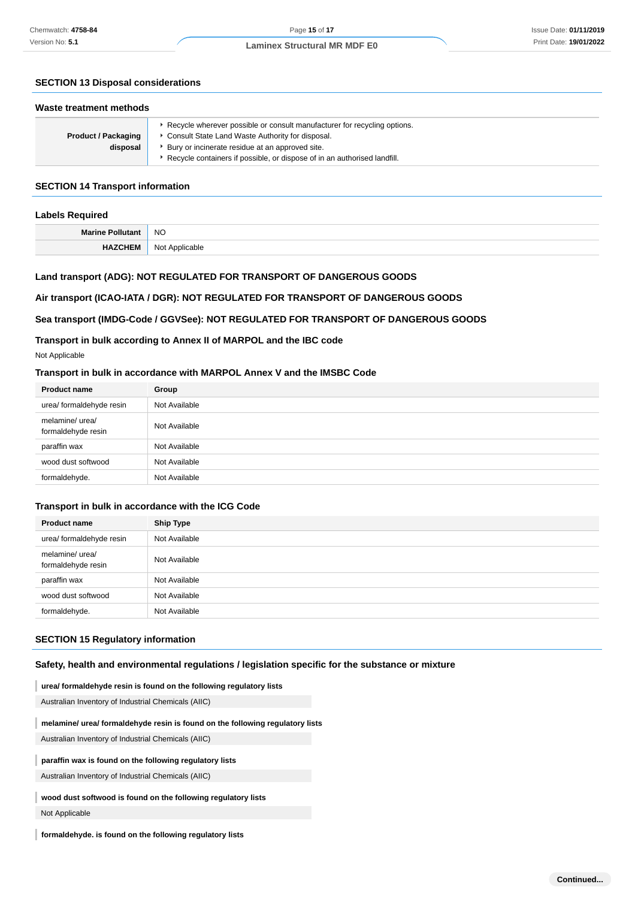## **SECTION 13 Disposal considerations**

| Waste treatment methods                |                                                                                                                                                                                                                                                                   |  |
|----------------------------------------|-------------------------------------------------------------------------------------------------------------------------------------------------------------------------------------------------------------------------------------------------------------------|--|
| <b>Product / Packaging</b><br>disposal | ► Recycle wherever possible or consult manufacturer for recycling options.<br>Consult State Land Waste Authority for disposal.<br>• Bury or incinerate residue at an approved site.<br>▶ Recycle containers if possible, or dispose of in an authorised landfill. |  |

## **SECTION 14 Transport information**

| <b>Labels Required</b> |                               |  |
|------------------------|-------------------------------|--|
| Marine Pollutant   NO  |                               |  |
|                        | <b>HAZCHEM</b> Not Applicable |  |

#### **Land transport (ADG): NOT REGULATED FOR TRANSPORT OF DANGEROUS GOODS**

## **Air transport (ICAO-IATA / DGR): NOT REGULATED FOR TRANSPORT OF DANGEROUS GOODS**

#### **Sea transport (IMDG-Code / GGVSee): NOT REGULATED FOR TRANSPORT OF DANGEROUS GOODS**

#### **Transport in bulk according to Annex II of MARPOL and the IBC code**

Not Applicable

## **Transport in bulk in accordance with MARPOL Annex V and the IMSBC Code**

| <b>Product name</b>                   | Group         |
|---------------------------------------|---------------|
| urea/ formaldehyde resin              | Not Available |
| melamine/ urea/<br>formaldehyde resin | Not Available |
| paraffin wax                          | Not Available |
| wood dust softwood                    | Not Available |
| formaldehyde.                         | Not Available |

#### **Transport in bulk in accordance with the ICG Code**

| <b>Product name</b>                   | <b>Ship Type</b> |
|---------------------------------------|------------------|
| urea/ formaldehyde resin              | Not Available    |
| melamine/ urea/<br>formaldehyde resin | Not Available    |
| paraffin wax                          | Not Available    |
| wood dust softwood                    | Not Available    |
| formaldehyde.                         | Not Available    |

## **SECTION 15 Regulatory information**

**Safety, health and environmental regulations / legislation specific for the substance or mixture**

**urea/ formaldehyde resin is found on the following regulatory lists**

Australian Inventory of Industrial Chemicals (AIIC)

## **melamine/ urea/ formaldehyde resin is found on the following regulatory lists**

Australian Inventory of Industrial Chemicals (AIIC)

#### **paraffin wax is found on the following regulatory lists**

Australian Inventory of Industrial Chemicals (AIIC)

## **wood dust softwood is found on the following regulatory lists**

Not Applicable

**formaldehyde. is found on the following regulatory lists**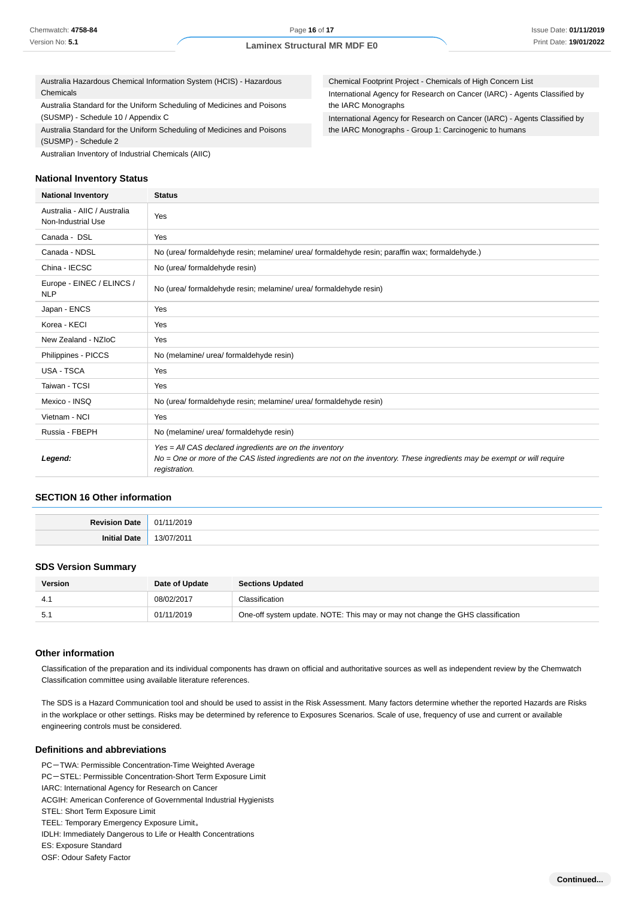Australia Hazardous Chemical Information System (HCIS) - Hazardous Chemicals

Australia Standard for the Uniform Scheduling of Medicines and Poisons (SUSMP) - Schedule 10 / Appendix C

Australia Standard for the Uniform Scheduling of Medicines and Poisons (SUSMP) - Schedule 2

Australian Inventory of Industrial Chemicals (AIIC)

#### **National Inventory Status**

Chemical Footprint Project - Chemicals of High Concern List International Agency for Research on Cancer (IARC) - Agents Classified by the IARC Monographs International Agency for Research on Cancer (IARC) - Agents Classified by the IARC Monographs - Group 1: Carcinogenic to humans

| <b>National Inventory</b>                          | <b>Status</b>                                                                                                                                                                                        |  |  |
|----------------------------------------------------|------------------------------------------------------------------------------------------------------------------------------------------------------------------------------------------------------|--|--|
| Australia - AIIC / Australia<br>Non-Industrial Use | Yes                                                                                                                                                                                                  |  |  |
| Canada - DSL                                       | Yes                                                                                                                                                                                                  |  |  |
| Canada - NDSL                                      | No (urea/ formaldehyde resin; melamine/ urea/ formaldehyde resin; paraffin wax; formaldehyde.)                                                                                                       |  |  |
| China - IECSC                                      | No (urea/ formaldehyde resin)                                                                                                                                                                        |  |  |
| Europe - EINEC / ELINCS /<br><b>NLP</b>            | No (urea/ formaldehyde resin; melamine/ urea/ formaldehyde resin)                                                                                                                                    |  |  |
| Japan - ENCS                                       | Yes                                                                                                                                                                                                  |  |  |
| Korea - KECI                                       | Yes                                                                                                                                                                                                  |  |  |
| New Zealand - NZIoC                                | Yes                                                                                                                                                                                                  |  |  |
| Philippines - PICCS                                | No (melamine/ urea/ formaldehyde resin)                                                                                                                                                              |  |  |
| <b>USA - TSCA</b>                                  | Yes                                                                                                                                                                                                  |  |  |
| Taiwan - TCSI                                      | Yes                                                                                                                                                                                                  |  |  |
| Mexico - INSQ                                      | No (urea/ formaldehyde resin; melamine/ urea/ formaldehyde resin)                                                                                                                                    |  |  |
| Vietnam - NCI                                      | Yes                                                                                                                                                                                                  |  |  |
| Russia - FBEPH                                     | No (melamine/ urea/ formaldehyde resin)                                                                                                                                                              |  |  |
| Legend:                                            | Yes = All CAS declared ingredients are on the inventory<br>No = One or more of the CAS listed ingredients are not on the inventory. These ingredients may be exempt or will require<br>registration. |  |  |

### **SECTION 16 Other information**

| n Date .<br><b>Povicion</b><br>┄ | /2019<br>01   |
|----------------------------------|---------------|
| ∍יה∩ י<br>Initial<br>. Jau       | /2011<br>3/07 |

#### **SDS Version Summary**

| <b>Version</b> | Date of Update | <b>Sections Updated</b>                                                        |
|----------------|----------------|--------------------------------------------------------------------------------|
| -4.            | 08/02/2017     | Classification                                                                 |
|                | 01/11/2019     | One-off system update. NOTE: This may or may not change the GHS classification |

#### **Other information**

Classification of the preparation and its individual components has drawn on official and authoritative sources as well as independent review by the Chemwatch Classification committee using available literature references.

The SDS is a Hazard Communication tool and should be used to assist in the Risk Assessment. Many factors determine whether the reported Hazards are Risks in the workplace or other settings. Risks may be determined by reference to Exposures Scenarios. Scale of use, frequency of use and current or available engineering controls must be considered.

#### **Definitions and abbreviations**

PC-TWA: Permissible Concentration-Time Weighted Average

- PC-STEL: Permissible Concentration-Short Term Exposure Limit
- IARC: International Agency for Research on Cancer
- ACGIH: American Conference of Governmental Industrial Hygienists
- STEL: Short Term Exposure Limit
- TEEL: Temporary Emergency Exposure Limit。
- IDLH: Immediately Dangerous to Life or Health Concentrations
- ES: Exposure Standard
- OSF: Odour Safety Factor